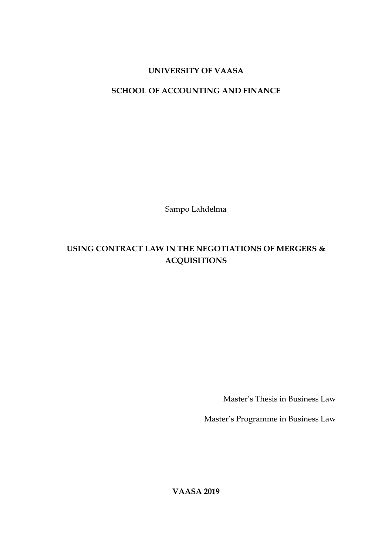## **UNIVERSITY OF VAASA**

## **SCHOOL OF ACCOUNTING AND FINANCE**

Sampo Lahdelma

# **USING CONTRACT LAW IN THE NEGOTIATIONS OF MERGERS & ACQUISITIONS**

Master's Thesis in Business Law

Master's Programme in Business Law

**VAASA 2019**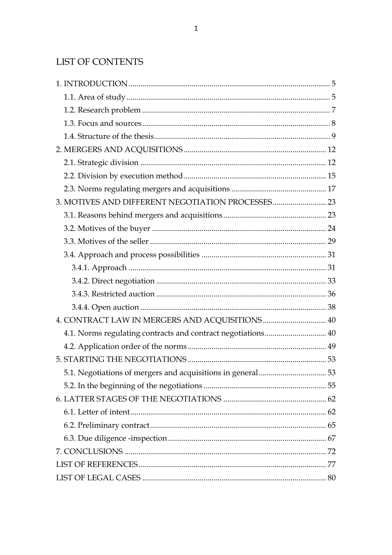# **LIST OF CONTENTS**

| 4. CONTRACT LAW IN MERGERS AND ACQUISITIONS  40              |  |
|--------------------------------------------------------------|--|
| 4.1. Norms regulating contracts and contract negotiations 40 |  |
|                                                              |  |
|                                                              |  |
|                                                              |  |
|                                                              |  |
|                                                              |  |
|                                                              |  |
|                                                              |  |
|                                                              |  |
|                                                              |  |
|                                                              |  |
|                                                              |  |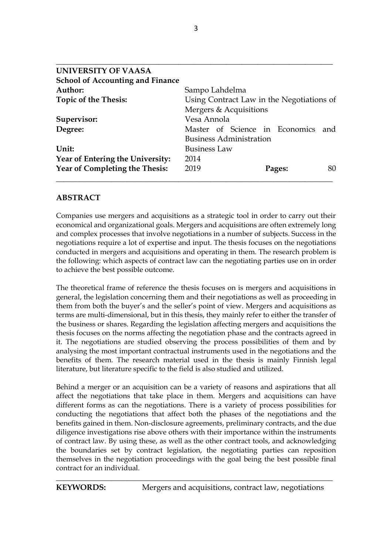| UNIVERSITY OF VAASA                     |                                           |     |
|-----------------------------------------|-------------------------------------------|-----|
| <b>School of Accounting and Finance</b> |                                           |     |
| Author:                                 | Sampo Lahdelma                            |     |
| <b>Topic of the Thesis:</b>             | Using Contract Law in the Negotiations of |     |
|                                         | Mergers & Acquisitions                    |     |
| Supervisor:                             | Vesa Annola                               |     |
| Degree:                                 | Master of Science in Economics            | and |
|                                         | <b>Business Administration</b>            |     |
| Unit:                                   | <b>Business Law</b>                       |     |
| Year of Entering the University:        | 2014                                      |     |
| Year of Completing the Thesis:          | 2019<br>Pages:                            | 80  |
|                                         |                                           |     |

### **ABSTRACT**

Companies use mergers and acquisitions as a strategic tool in order to carry out their economical and organizational goals. Mergers and acquisitions are often extremely long and complex processes that involve negotiations in a number of subjects. Success in the negotiations require a lot of expertise and input. The thesis focuses on the negotiations conducted in mergers and acquisitions and operating in them. The research problem is the following: which aspects of contract law can the negotiating parties use on in order to achieve the best possible outcome.

The theoretical frame of reference the thesis focuses on is mergers and acquisitions in general, the legislation concerning them and their negotiations as well as proceeding in them from both the buyer's and the seller's point of view. Mergers and acquisitions as terms are multi-dimensional, but in this thesis, they mainly refer to either the transfer of the business or shares. Regarding the legislation affecting mergers and acquisitions the thesis focuses on the norms affecting the negotiation phase and the contracts agreed in it. The negotiations are studied observing the process possibilities of them and by analysing the most important contractual instruments used in the negotiations and the benefits of them. The research material used in the thesis is mainly Finnish legal literature, but literature specific to the field is also studied and utilized.

Behind a merger or an acquisition can be a variety of reasons and aspirations that all affect the negotiations that take place in them. Mergers and acquisitions can have different forms as can the negotiations. There is a variety of process possibilities for conducting the negotiations that affect both the phases of the negotiations and the benefits gained in them. Non-disclosure agreements, preliminary contracts, and the due diligence investigations rise above others with their importance within the instruments of contract law. By using these, as well as the other contract tools, and acknowledging the boundaries set by contract legislation, the negotiating parties can reposition themselves in the negotiation proceedings with the goal being the best possible final contract for an individual.

\_\_\_\_\_\_\_\_\_\_\_\_\_\_\_\_\_\_\_\_\_\_\_\_\_\_\_\_\_\_\_\_\_\_\_\_\_\_\_\_\_\_\_\_\_\_\_\_\_\_\_\_\_\_\_\_\_\_\_\_\_\_\_\_\_\_\_\_\_\_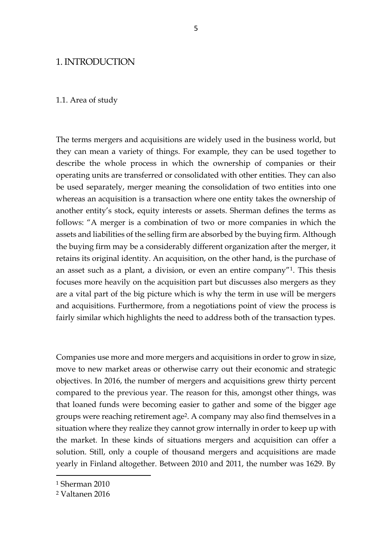### 1. INTRODUCTION

#### 1.1. Area of study

The terms mergers and acquisitions are widely used in the business world, but they can mean a variety of things. For example, they can be used together to describe the whole process in which the ownership of companies or their operating units are transferred or consolidated with other entities. They can also be used separately, merger meaning the consolidation of two entities into one whereas an acquisition is a transaction where one entity takes the ownership of another entity's stock, equity interests or assets. Sherman defines the terms as follows: "A merger is a combination of two or more companies in which the assets and liabilities of the selling firm are absorbed by the buying firm. Although the buying firm may be a considerably different organization after the merger, it retains its original identity. An acquisition, on the other hand, is the purchase of an asset such as a plant, a division, or even an entire company"1. This thesis focuses more heavily on the acquisition part but discusses also mergers as they are a vital part of the big picture which is why the term in use will be mergers and acquisitions. Furthermore, from a negotiations point of view the process is fairly similar which highlights the need to address both of the transaction types.

Companies use more and more mergers and acquisitions in order to grow in size, move to new market areas or otherwise carry out their economic and strategic objectives. In 2016, the number of mergers and acquisitions grew thirty percent compared to the previous year. The reason for this, amongst other things, was that loaned funds were becoming easier to gather and some of the bigger age groups were reaching retirement age2. A company may also find themselves in a situation where they realize they cannot grow internally in order to keep up with the market. In these kinds of situations mergers and acquisition can offer a solution. Still, only a couple of thousand mergers and acquisitions are made yearly in Finland altogether. Between 2010 and 2011, the number was 1629. By

<sup>1</sup> Sherman 2010

<sup>2</sup> Valtanen 2016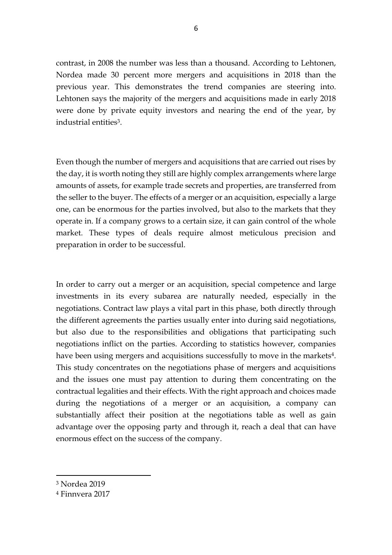contrast, in 2008 the number was less than a thousand. According to Lehtonen, Nordea made 30 percent more mergers and acquisitions in 2018 than the previous year. This demonstrates the trend companies are steering into. Lehtonen says the majority of the mergers and acquisitions made in early 2018 were done by private equity investors and nearing the end of the year, by industrial entities3.

Even though the number of mergers and acquisitions that are carried out rises by the day, it is worth noting they still are highly complex arrangements where large amounts of assets, for example trade secrets and properties, are transferred from the seller to the buyer. The effects of a merger or an acquisition, especially a large one, can be enormous for the parties involved, but also to the markets that they operate in. If a company grows to a certain size, it can gain control of the whole market. These types of deals require almost meticulous precision and preparation in order to be successful.

In order to carry out a merger or an acquisition, special competence and large investments in its every subarea are naturally needed, especially in the negotiations. Contract law plays a vital part in this phase, both directly through the different agreements the parties usually enter into during said negotiations, but also due to the responsibilities and obligations that participating such negotiations inflict on the parties. According to statistics however, companies have been using mergers and acquisitions successfully to move in the markets<sup>4</sup>. This study concentrates on the negotiations phase of mergers and acquisitions and the issues one must pay attention to during them concentrating on the contractual legalities and their effects. With the right approach and choices made during the negotiations of a merger or an acquisition, a company can substantially affect their position at the negotiations table as well as gain advantage over the opposing party and through it, reach a deal that can have enormous effect on the success of the company.

<sup>3</sup> Nordea 2019

<sup>4</sup> Finnvera 2017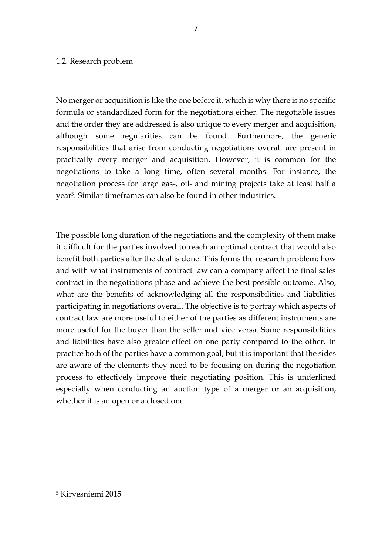### 1.2. Research problem

No merger or acquisition is like the one before it, which is why there is no specific formula or standardized form for the negotiations either. The negotiable issues and the order they are addressed is also unique to every merger and acquisition, although some regularities can be found. Furthermore, the generic responsibilities that arise from conducting negotiations overall are present in practically every merger and acquisition. However, it is common for the negotiations to take a long time, often several months. For instance, the negotiation process for large gas-, oil- and mining projects take at least half a year5. Similar timeframes can also be found in other industries.

The possible long duration of the negotiations and the complexity of them make it difficult for the parties involved to reach an optimal contract that would also benefit both parties after the deal is done. This forms the research problem: how and with what instruments of contract law can a company affect the final sales contract in the negotiations phase and achieve the best possible outcome. Also, what are the benefits of acknowledging all the responsibilities and liabilities participating in negotiations overall. The objective is to portray which aspects of contract law are more useful to either of the parties as different instruments are more useful for the buyer than the seller and vice versa. Some responsibilities and liabilities have also greater effect on one party compared to the other. In practice both of the parties have a common goal, but it is important that the sides are aware of the elements they need to be focusing on during the negotiation process to effectively improve their negotiating position. This is underlined especially when conducting an auction type of a merger or an acquisition, whether it is an open or a closed one.

<sup>5</sup> Kirvesniemi 2015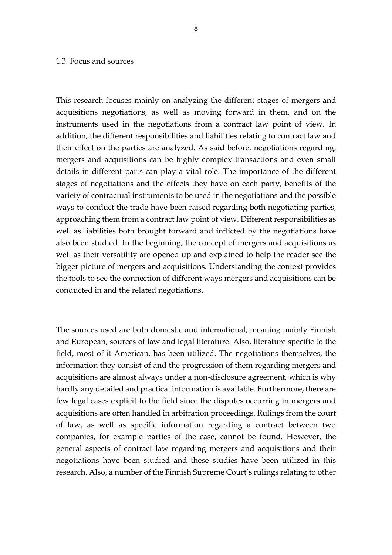#### 1.3. Focus and sources

This research focuses mainly on analyzing the different stages of mergers and acquisitions negotiations, as well as moving forward in them, and on the instruments used in the negotiations from a contract law point of view. In addition, the different responsibilities and liabilities relating to contract law and their effect on the parties are analyzed. As said before, negotiations regarding, mergers and acquisitions can be highly complex transactions and even small details in different parts can play a vital role. The importance of the different stages of negotiations and the effects they have on each party, benefits of the variety of contractual instruments to be used in the negotiations and the possible ways to conduct the trade have been raised regarding both negotiating parties, approaching them from a contract law point of view. Different responsibilities as well as liabilities both brought forward and inflicted by the negotiations have also been studied. In the beginning, the concept of mergers and acquisitions as well as their versatility are opened up and explained to help the reader see the bigger picture of mergers and acquisitions. Understanding the context provides the tools to see the connection of different ways mergers and acquisitions can be conducted in and the related negotiations.

The sources used are both domestic and international, meaning mainly Finnish and European, sources of law and legal literature. Also, literature specific to the field, most of it American, has been utilized. The negotiations themselves, the information they consist of and the progression of them regarding mergers and acquisitions are almost always under a non-disclosure agreement, which is why hardly any detailed and practical information is available. Furthermore, there are few legal cases explicit to the field since the disputes occurring in mergers and acquisitions are often handled in arbitration proceedings. Rulings from the court of law, as well as specific information regarding a contract between two companies, for example parties of the case, cannot be found. However, the general aspects of contract law regarding mergers and acquisitions and their negotiations have been studied and these studies have been utilized in this research. Also, a number of the Finnish Supreme Court's rulings relating to other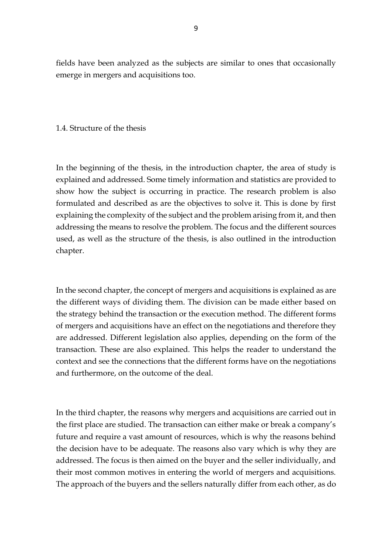fields have been analyzed as the subjects are similar to ones that occasionally emerge in mergers and acquisitions too.

### 1.4. Structure of the thesis

In the beginning of the thesis, in the introduction chapter, the area of study is explained and addressed. Some timely information and statistics are provided to show how the subject is occurring in practice. The research problem is also formulated and described as are the objectives to solve it. This is done by first explaining the complexity of the subject and the problem arising from it, and then addressing the means to resolve the problem. The focus and the different sources used, as well as the structure of the thesis, is also outlined in the introduction chapter.

In the second chapter, the concept of mergers and acquisitions is explained as are the different ways of dividing them. The division can be made either based on the strategy behind the transaction or the execution method. The different forms of mergers and acquisitions have an effect on the negotiations and therefore they are addressed. Different legislation also applies, depending on the form of the transaction. These are also explained. This helps the reader to understand the context and see the connections that the different forms have on the negotiations and furthermore, on the outcome of the deal.

In the third chapter, the reasons why mergers and acquisitions are carried out in the first place are studied. The transaction can either make or break a company's future and require a vast amount of resources, which is why the reasons behind the decision have to be adequate. The reasons also vary which is why they are addressed. The focus is then aimed on the buyer and the seller individually, and their most common motives in entering the world of mergers and acquisitions. The approach of the buyers and the sellers naturally differ from each other, as do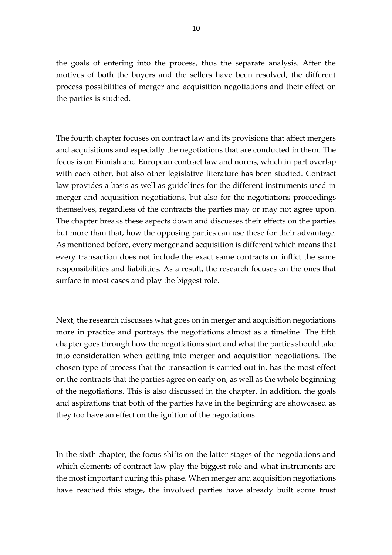the goals of entering into the process, thus the separate analysis. After the motives of both the buyers and the sellers have been resolved, the different process possibilities of merger and acquisition negotiations and their effect on the parties is studied.

The fourth chapter focuses on contract law and its provisions that affect mergers and acquisitions and especially the negotiations that are conducted in them. The focus is on Finnish and European contract law and norms, which in part overlap with each other, but also other legislative literature has been studied. Contract law provides a basis as well as guidelines for the different instruments used in merger and acquisition negotiations, but also for the negotiations proceedings themselves, regardless of the contracts the parties may or may not agree upon. The chapter breaks these aspects down and discusses their effects on the parties but more than that, how the opposing parties can use these for their advantage. As mentioned before, every merger and acquisition is different which means that every transaction does not include the exact same contracts or inflict the same responsibilities and liabilities. As a result, the research focuses on the ones that surface in most cases and play the biggest role.

Next, the research discusses what goes on in merger and acquisition negotiations more in practice and portrays the negotiations almost as a timeline. The fifth chapter goes through how the negotiations start and what the parties should take into consideration when getting into merger and acquisition negotiations. The chosen type of process that the transaction is carried out in, has the most effect on the contracts that the parties agree on early on, as well as the whole beginning of the negotiations. This is also discussed in the chapter. In addition, the goals and aspirations that both of the parties have in the beginning are showcased as they too have an effect on the ignition of the negotiations.

In the sixth chapter, the focus shifts on the latter stages of the negotiations and which elements of contract law play the biggest role and what instruments are the most important during this phase. When merger and acquisition negotiations have reached this stage, the involved parties have already built some trust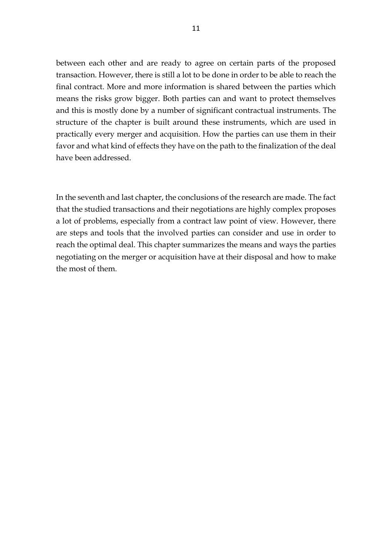between each other and are ready to agree on certain parts of the proposed transaction. However, there is still a lot to be done in order to be able to reach the final contract. More and more information is shared between the parties which means the risks grow bigger. Both parties can and want to protect themselves and this is mostly done by a number of significant contractual instruments. The structure of the chapter is built around these instruments, which are used in practically every merger and acquisition. How the parties can use them in their favor and what kind of effects they have on the path to the finalization of the deal have been addressed.

In the seventh and last chapter, the conclusions of the research are made. The fact that the studied transactions and their negotiations are highly complex proposes a lot of problems, especially from a contract law point of view. However, there are steps and tools that the involved parties can consider and use in order to reach the optimal deal. This chapter summarizes the means and ways the parties negotiating on the merger or acquisition have at their disposal and how to make the most of them.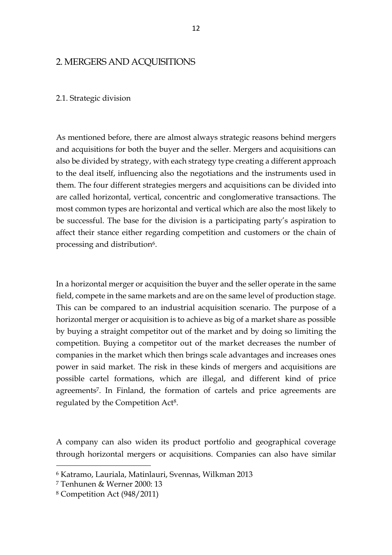### 2. MERGERS AND ACQUISITIONS

### 2.1. Strategic division

As mentioned before, there are almost always strategic reasons behind mergers and acquisitions for both the buyer and the seller. Mergers and acquisitions can also be divided by strategy, with each strategy type creating a different approach to the deal itself, influencing also the negotiations and the instruments used in them. The four different strategies mergers and acquisitions can be divided into are called horizontal, vertical, concentric and conglomerative transactions. The most common types are horizontal and vertical which are also the most likely to be successful. The base for the division is a participating party's aspiration to affect their stance either regarding competition and customers or the chain of processing and distribution6.

In a horizontal merger or acquisition the buyer and the seller operate in the same field, compete in the same markets and are on the same level of production stage. This can be compared to an industrial acquisition scenario. The purpose of a horizontal merger or acquisition is to achieve as big of a market share as possible by buying a straight competitor out of the market and by doing so limiting the competition. Buying a competitor out of the market decreases the number of companies in the market which then brings scale advantages and increases ones power in said market. The risk in these kinds of mergers and acquisitions are possible cartel formations, which are illegal, and different kind of price agreements<sup>7</sup>. In Finland, the formation of cartels and price agreements are regulated by the Competition Act8.

A company can also widen its product portfolio and geographical coverage through horizontal mergers or acquisitions. Companies can also have similar

<sup>6</sup> Katramo, Lauriala, Matinlauri, Svennas, Wilkman 2013

<sup>7</sup> Tenhunen & Werner 2000: 13

<sup>8</sup> Competition Act (948/2011)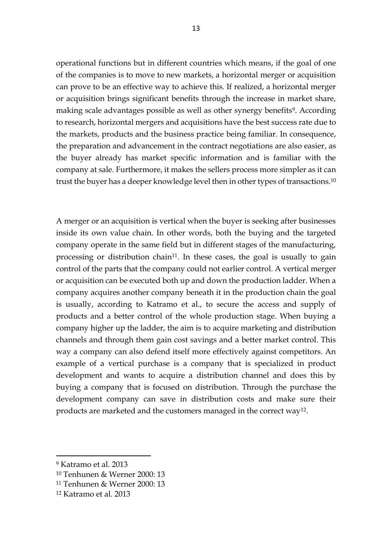operational functions but in different countries which means, if the goal of one of the companies is to move to new markets, a horizontal merger or acquisition can prove to be an effective way to achieve this. If realized, a horizontal merger or acquisition brings significant benefits through the increase in market share, making scale advantages possible as well as other synergy benefits<sup>9</sup>. According to research, horizontal mergers and acquisitions have the best success rate due to the markets, products and the business practice being familiar. In consequence, the preparation and advancement in the contract negotiations are also easier, as the buyer already has market specific information and is familiar with the company at sale. Furthermore, it makes the sellers process more simpler as it can trust the buyer has a deeper knowledge level then in other types of transactions.<sup>10</sup>

A merger or an acquisition is vertical when the buyer is seeking after businesses inside its own value chain. In other words, both the buying and the targeted company operate in the same field but in different stages of the manufacturing, processing or distribution chain<sup>11</sup>. In these cases, the goal is usually to gain control of the parts that the company could not earlier control. A vertical merger or acquisition can be executed both up and down the production ladder. When a company acquires another company beneath it in the production chain the goal is usually, according to Katramo et al., to secure the access and supply of products and a better control of the whole production stage. When buying a company higher up the ladder, the aim is to acquire marketing and distribution channels and through them gain cost savings and a better market control. This way a company can also defend itself more effectively against competitors. An example of a vertical purchase is a company that is specialized in product development and wants to acquire a distribution channel and does this by buying a company that is focused on distribution. Through the purchase the development company can save in distribution costs and make sure their products are marketed and the customers managed in the correct way<sup>12</sup> .

<sup>9</sup> Katramo et al. 2013

<sup>10</sup> Tenhunen & Werner 2000: 13

<sup>11</sup> Tenhunen & Werner 2000: 13

<sup>12</sup> Katramo et al. 2013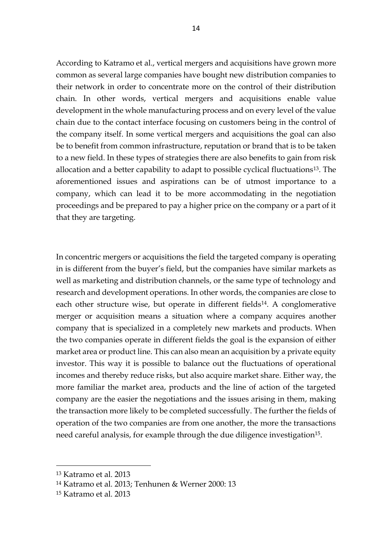According to Katramo et al., vertical mergers and acquisitions have grown more common as several large companies have bought new distribution companies to their network in order to concentrate more on the control of their distribution chain. In other words, vertical mergers and acquisitions enable value development in the whole manufacturing process and on every level of the value chain due to the contact interface focusing on customers being in the control of the company itself. In some vertical mergers and acquisitions the goal can also be to benefit from common infrastructure, reputation or brand that is to be taken to a new field. In these types of strategies there are also benefits to gain from risk allocation and a better capability to adapt to possible cyclical fluctuations13. The aforementioned issues and aspirations can be of utmost importance to a company, which can lead it to be more accommodating in the negotiation proceedings and be prepared to pay a higher price on the company or a part of it that they are targeting.

In concentric mergers or acquisitions the field the targeted company is operating in is different from the buyer's field, but the companies have similar markets as well as marketing and distribution channels, or the same type of technology and research and development operations. In other words, the companies are close to each other structure wise, but operate in different fields<sup>14</sup>. A conglomerative merger or acquisition means a situation where a company acquires another company that is specialized in a completely new markets and products. When the two companies operate in different fields the goal is the expansion of either market area or product line. This can also mean an acquisition by a private equity investor. This way it is possible to balance out the fluctuations of operational incomes and thereby reduce risks, but also acquire market share. Either way, the more familiar the market area, products and the line of action of the targeted company are the easier the negotiations and the issues arising in them, making the transaction more likely to be completed successfully. The further the fields of operation of the two companies are from one another, the more the transactions need careful analysis, for example through the due diligence investigation<sup>15</sup>.

<sup>13</sup> Katramo et al. 2013

<sup>14</sup> Katramo et al. 2013; Tenhunen & Werner 2000: 13

<sup>15</sup> Katramo et al. 2013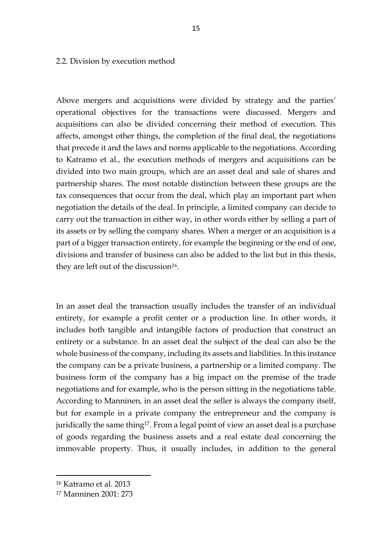#### 2.2. Division by execution method

Above mergers and acquisitions were divided by strategy and the parties' operational objectives for the transactions were discussed. Mergers and acquisitions can also be divided concerning their method of execution. This affects, amongst other things, the completion of the final deal, the negotiations that precede it and the laws and norms applicable to the negotiations. According to Katramo et al., the execution methods of mergers and acquisitions can be divided into two main groups, which are an asset deal and sale of shares and partnership shares. The most notable distinction between these groups are the tax consequences that occur from the deal, which play an important part when negotiation the details of the deal. In principle, a limited company can decide to carry out the transaction in either way, in other words either by selling a part of its assets or by selling the company shares. When a merger or an acquisition is a part of a bigger transaction entirety, for example the beginning or the end of one, divisions and transfer of business can also be added to the list but in this thesis, they are left out of the discussion<sup>16</sup>.

In an asset deal the transaction usually includes the transfer of an individual entirety, for example a profit center or a production line. In other words, it includes both tangible and intangible factors of production that construct an entirety or a substance. In an asset deal the subject of the deal can also be the whole business of the company, including its assets and liabilities. In this instance the company can be a private business, a partnership or a limited company. The business form of the company has a big impact on the premise of the trade negotiations and for example, who is the person sitting in the negotiations table. According to Manninen, in an asset deal the seller is always the company itself, but for example in a private company the entrepreneur and the company is juridically the same thing<sup>17</sup>. From a legal point of view an asset deal is a purchase of goods regarding the business assets and a real estate deal concerning the immovable property. Thus, it usually includes, in addition to the general

<sup>16</sup> Katramo et al. 2013

<sup>17</sup> Manninen 2001: 273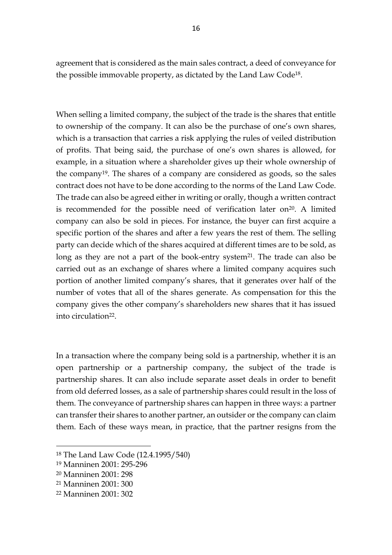agreement that is considered as the main sales contract, a deed of conveyance for the possible immovable property, as dictated by the Land Law Code18.

When selling a limited company, the subject of the trade is the shares that entitle to ownership of the company. It can also be the purchase of one's own shares, which is a transaction that carries a risk applying the rules of veiled distribution of profits. That being said, the purchase of one's own shares is allowed, for example, in a situation where a shareholder gives up their whole ownership of the company19. The shares of a company are considered as goods, so the sales contract does not have to be done according to the norms of the Land Law Code. The trade can also be agreed either in writing or orally, though a written contract is recommended for the possible need of verification later on $20$ . A limited company can also be sold in pieces. For instance, the buyer can first acquire a specific portion of the shares and after a few years the rest of them. The selling party can decide which of the shares acquired at different times are to be sold, as long as they are not a part of the book-entry system<sup>21</sup>. The trade can also be carried out as an exchange of shares where a limited company acquires such portion of another limited company's shares, that it generates over half of the number of votes that all of the shares generate. As compensation for this the company gives the other company's shareholders new shares that it has issued into circulation22.

In a transaction where the company being sold is a partnership, whether it is an open partnership or a partnership company, the subject of the trade is partnership shares. It can also include separate asset deals in order to benefit from old deferred losses, as a sale of partnership shares could result in the loss of them. The conveyance of partnership shares can happen in three ways: a partner can transfer their shares to another partner, an outsider or the company can claim them. Each of these ways mean, in practice, that the partner resigns from the

<sup>18</sup> The Land Law Code (12.4.1995/540)

<sup>19</sup> Manninen 2001: 295-296

<sup>20</sup> Manninen 2001: 298

<sup>21</sup> Manninen 2001: 300

<sup>22</sup> Manninen 2001: 302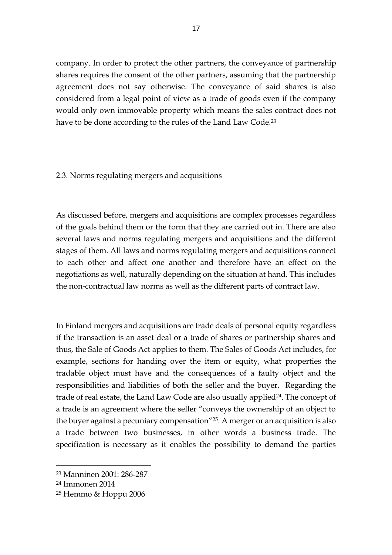company. In order to protect the other partners, the conveyance of partnership shares requires the consent of the other partners, assuming that the partnership agreement does not say otherwise. The conveyance of said shares is also considered from a legal point of view as a trade of goods even if the company would only own immovable property which means the sales contract does not have to be done according to the rules of the Land Law Code. 23

### 2.3. Norms regulating mergers and acquisitions

As discussed before, mergers and acquisitions are complex processes regardless of the goals behind them or the form that they are carried out in. There are also several laws and norms regulating mergers and acquisitions and the different stages of them. All laws and norms regulating mergers and acquisitions connect to each other and affect one another and therefore have an effect on the negotiations as well, naturally depending on the situation at hand. This includes the non-contractual law norms as well as the different parts of contract law.

In Finland mergers and acquisitions are trade deals of personal equity regardless if the transaction is an asset deal or a trade of shares or partnership shares and thus, the Sale of Goods Act applies to them. The Sales of Goods Act includes, for example, sections for handing over the item or equity, what properties the tradable object must have and the consequences of a faulty object and the responsibilities and liabilities of both the seller and the buyer. Regarding the trade of real estate, the Land Law Code are also usually applied<sup>24</sup>. The concept of a trade is an agreement where the seller "conveys the ownership of an object to the buyer against a pecuniary compensation"25. A merger or an acquisition is also a trade between two businesses, in other words a business trade. The specification is necessary as it enables the possibility to demand the parties

<sup>23</sup> Manninen 2001: 286-287

<sup>24</sup> Immonen 2014

<sup>25</sup> Hemmo & Hoppu 2006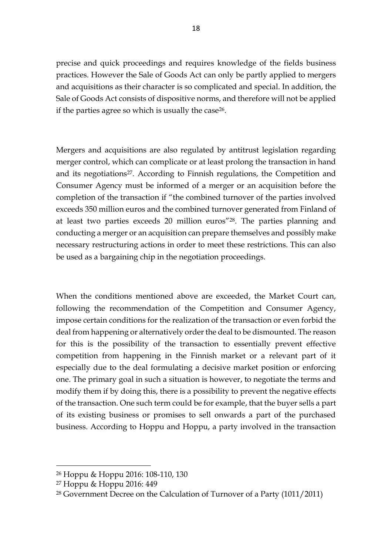precise and quick proceedings and requires knowledge of the fields business practices. However the Sale of Goods Act can only be partly applied to mergers and acquisitions as their character is so complicated and special. In addition, the Sale of Goods Act consists of dispositive norms, and therefore will not be applied if the parties agree so which is usually the case<sup>26</sup>.

Mergers and acquisitions are also regulated by antitrust legislation regarding merger control, which can complicate or at least prolong the transaction in hand and its negotiations<sup>27</sup>. According to Finnish regulations, the Competition and Consumer Agency must be informed of a merger or an acquisition before the completion of the transaction if "the combined turnover of the parties involved exceeds 350 million euros and the combined turnover generated from Finland of at least two parties exceeds 20 million euros"28. The parties planning and conducting a merger or an acquisition can prepare themselves and possibly make necessary restructuring actions in order to meet these restrictions. This can also be used as a bargaining chip in the negotiation proceedings.

When the conditions mentioned above are exceeded, the Market Court can, following the recommendation of the Competition and Consumer Agency, impose certain conditions for the realization of the transaction or even forbid the deal from happening or alternatively order the deal to be dismounted. The reason for this is the possibility of the transaction to essentially prevent effective competition from happening in the Finnish market or a relevant part of it especially due to the deal formulating a decisive market position or enforcing one. The primary goal in such a situation is however, to negotiate the terms and modify them if by doing this, there is a possibility to prevent the negative effects of the transaction. One such term could be for example, that the buyer sells a part of its existing business or promises to sell onwards a part of the purchased business. According to Hoppu and Hoppu, a party involved in the transaction

<sup>26</sup> Hoppu & Hoppu 2016: 108-110, 130

<sup>27</sup> Hoppu & Hoppu 2016: 449

<sup>28</sup> Government Decree on the Calculation of Turnover of a Party (1011/2011)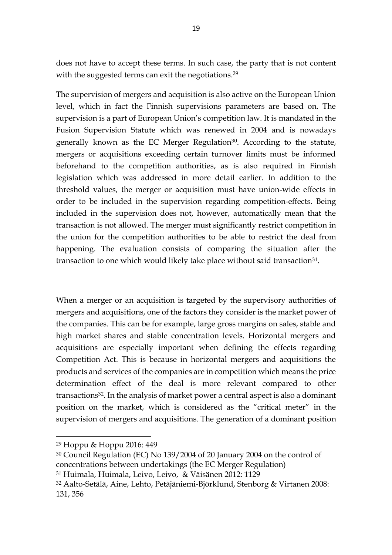does not have to accept these terms. In such case, the party that is not content with the suggested terms can exit the negotiations. 29

The supervision of mergers and acquisition is also active on the European Union level, which in fact the Finnish supervisions parameters are based on. The supervision is a part of European Union's competition law. It is mandated in the Fusion Supervision Statute which was renewed in 2004 and is nowadays generally known as the EC Merger Regulation<sup>30</sup>. According to the statute, mergers or acquisitions exceeding certain turnover limits must be informed beforehand to the competition authorities, as is also required in Finnish legislation which was addressed in more detail earlier. In addition to the threshold values, the merger or acquisition must have union-wide effects in order to be included in the supervision regarding competition-effects. Being included in the supervision does not, however, automatically mean that the transaction is not allowed. The merger must significantly restrict competition in the union for the competition authorities to be able to restrict the deal from happening. The evaluation consists of comparing the situation after the transaction to one which would likely take place without said transaction<sup>31</sup>.

When a merger or an acquisition is targeted by the supervisory authorities of mergers and acquisitions, one of the factors they consider is the market power of the companies. This can be for example, large gross margins on sales, stable and high market shares and stable concentration levels. Horizontal mergers and acquisitions are especially important when defining the effects regarding Competition Act. This is because in horizontal mergers and acquisitions the products and services of the companies are in competition which means the price determination effect of the deal is more relevant compared to other transactions32. In the analysis of market power a central aspect is also a dominant position on the market, which is considered as the "critical meter" in the supervision of mergers and acquisitions. The generation of a dominant position

<sup>29</sup> Hoppu & Hoppu 2016: 449

<sup>30</sup> Council Regulation (EC) No 139/2004 of 20 January 2004 on the control of concentrations between undertakings (the EC Merger Regulation)

<sup>31</sup> Huimala, Huimala, Leivo, Leivo, & Väisänen 2012: 1129

<sup>32</sup> Aalto-Setälä, Aine, Lehto, Petäjäniemi-Björklund, Stenborg & Virtanen 2008: 131, 356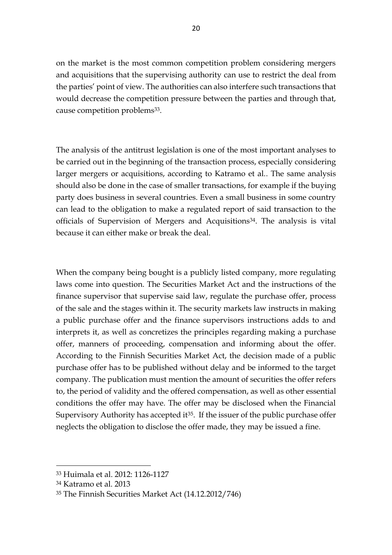on the market is the most common competition problem considering mergers and acquisitions that the supervising authority can use to restrict the deal from the parties' point of view. The authorities can also interfere such transactions that would decrease the competition pressure between the parties and through that, cause competition problems<sup>33</sup>.

The analysis of the antitrust legislation is one of the most important analyses to be carried out in the beginning of the transaction process, especially considering larger mergers or acquisitions, according to Katramo et al.. The same analysis should also be done in the case of smaller transactions, for example if the buying party does business in several countries. Even a small business in some country can lead to the obligation to make a regulated report of said transaction to the officials of Supervision of Mergers and Acquisitions34. The analysis is vital because it can either make or break the deal.

When the company being bought is a publicly listed company, more regulating laws come into question. The Securities Market Act and the instructions of the finance supervisor that supervise said law, regulate the purchase offer, process of the sale and the stages within it. The security markets law instructs in making a public purchase offer and the finance supervisors instructions adds to and interprets it, as well as concretizes the principles regarding making a purchase offer, manners of proceeding, compensation and informing about the offer. According to the Finnish Securities Market Act, the decision made of a public purchase offer has to be published without delay and be informed to the target company. The publication must mention the amount of securities the offer refers to, the period of validity and the offered compensation, as well as other essential conditions the offer may have. The offer may be disclosed when the Financial Supervisory Authority has accepted it<sup>35</sup>. If the issuer of the public purchase offer neglects the obligation to disclose the offer made, they may be issued a fine.

<sup>33</sup> Huimala et al. 2012: 1126-1127

<sup>34</sup> Katramo et al. 2013

<sup>35</sup> The Finnish Securities Market Act (14.12.2012/746)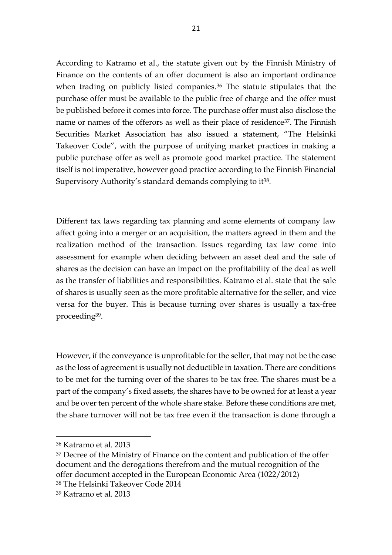According to Katramo et al., the statute given out by the Finnish Ministry of Finance on the contents of an offer document is also an important ordinance when trading on publicly listed companies.<sup>36</sup> The statute stipulates that the purchase offer must be available to the public free of charge and the offer must be published before it comes into force. The purchase offer must also disclose the name or names of the offerors as well as their place of residence<sup>37</sup>. The Finnish Securities Market Association has also issued a statement, "The Helsinki Takeover Code", with the purpose of unifying market practices in making a public purchase offer as well as promote good market practice. The statement itself is not imperative, however good practice according to the Finnish Financial Supervisory Authority's standard demands complying to it<sup>38</sup>.

Different tax laws regarding tax planning and some elements of company law affect going into a merger or an acquisition, the matters agreed in them and the realization method of the transaction. Issues regarding tax law come into assessment for example when deciding between an asset deal and the sale of shares as the decision can have an impact on the profitability of the deal as well as the transfer of liabilities and responsibilities. Katramo et al. state that the sale of shares is usually seen as the more profitable alternative for the seller, and vice versa for the buyer. This is because turning over shares is usually a tax-free proceeding39.

However, if the conveyance is unprofitable for the seller, that may not be the case as the loss of agreement is usually not deductible in taxation. There are conditions to be met for the turning over of the shares to be tax free. The shares must be a part of the company's fixed assets, the shares have to be owned for at least a year and be over ten percent of the whole share stake. Before these conditions are met, the share turnover will not be tax free even if the transaction is done through a

<sup>36</sup> Katramo et al. 2013

<sup>&</sup>lt;sup>37</sup> Decree of the Ministry of Finance on the content and publication of the offer document and the derogations therefrom and the mutual recognition of the offer document accepted in the European Economic Area (1022/2012) <sup>38</sup> The Helsinki Takeover Code 2014

<sup>39</sup> Katramo et al. 2013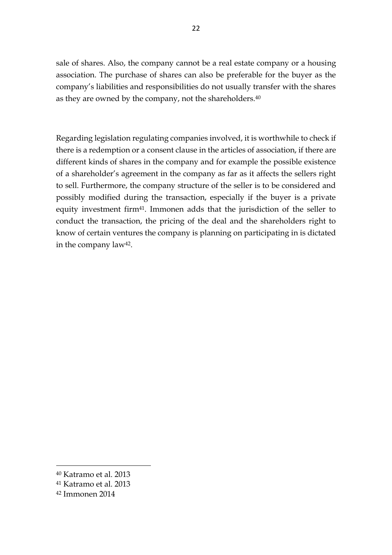sale of shares. Also, the company cannot be a real estate company or a housing association. The purchase of shares can also be preferable for the buyer as the company's liabilities and responsibilities do not usually transfer with the shares as they are owned by the company, not the shareholders.<sup>40</sup>

Regarding legislation regulating companies involved, it is worthwhile to check if there is a redemption or a consent clause in the articles of association, if there are different kinds of shares in the company and for example the possible existence of a shareholder's agreement in the company as far as it affects the sellers right to sell. Furthermore, the company structure of the seller is to be considered and possibly modified during the transaction, especially if the buyer is a private equity investment firm<sup>41</sup>. Immonen adds that the jurisdiction of the seller to conduct the transaction, the pricing of the deal and the shareholders right to know of certain ventures the company is planning on participating in is dictated in the company law42.

<sup>40</sup> Katramo et al. 2013

<sup>41</sup> Katramo et al. 2013

<sup>42</sup> Immonen 2014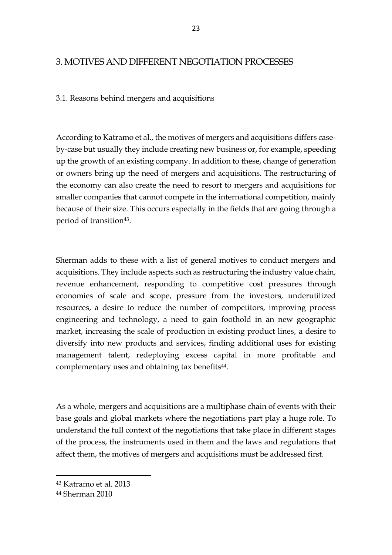# 3. MOTIVES AND DIFFERENT NEGOTIATION PROCESSES

### 3.1. Reasons behind mergers and acquisitions

According to Katramo et al., the motives of mergers and acquisitions differs caseby-case but usually they include creating new business or, for example, speeding up the growth of an existing company. In addition to these, change of generation or owners bring up the need of mergers and acquisitions. The restructuring of the economy can also create the need to resort to mergers and acquisitions for smaller companies that cannot compete in the international competition, mainly because of their size. This occurs especially in the fields that are going through a period of transition<sup>43</sup>.

Sherman adds to these with a list of general motives to conduct mergers and acquisitions. They include aspects such as restructuring the industry value chain, revenue enhancement, responding to competitive cost pressures through economies of scale and scope, pressure from the investors, underutilized resources, a desire to reduce the number of competitors, improving process engineering and technology, a need to gain foothold in an new geographic market, increasing the scale of production in existing product lines, a desire to diversify into new products and services, finding additional uses for existing management talent, redeploying excess capital in more profitable and complementary uses and obtaining tax benefits<sup>44</sup>.

As a whole, mergers and acquisitions are a multiphase chain of events with their base goals and global markets where the negotiations part play a huge role. To understand the full context of the negotiations that take place in different stages of the process, the instruments used in them and the laws and regulations that affect them, the motives of mergers and acquisitions must be addressed first.

<sup>43</sup> Katramo et al. 2013

<sup>44</sup> Sherman 2010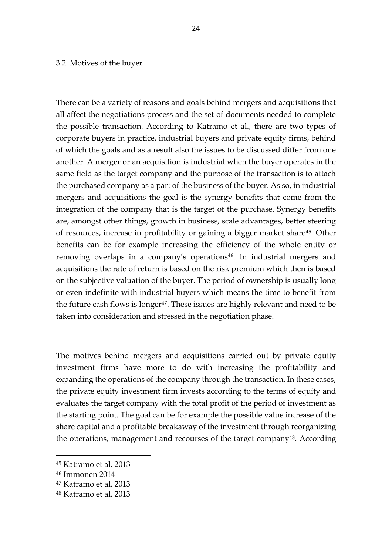#### 3.2. Motives of the buyer

There can be a variety of reasons and goals behind mergers and acquisitions that all affect the negotiations process and the set of documents needed to complete the possible transaction. According to Katramo et al., there are two types of corporate buyers in practice, industrial buyers and private equity firms, behind of which the goals and as a result also the issues to be discussed differ from one another. A merger or an acquisition is industrial when the buyer operates in the same field as the target company and the purpose of the transaction is to attach the purchased company as a part of the business of the buyer. As so, in industrial mergers and acquisitions the goal is the synergy benefits that come from the integration of the company that is the target of the purchase. Synergy benefits are, amongst other things, growth in business, scale advantages, better steering of resources, increase in profitability or gaining a bigger market share45. Other benefits can be for example increasing the efficiency of the whole entity or removing overlaps in a company's operations<sup>46</sup>. In industrial mergers and acquisitions the rate of return is based on the risk premium which then is based on the subjective valuation of the buyer. The period of ownership is usually long or even indefinite with industrial buyers which means the time to benefit from the future cash flows is longer<sup>47</sup>. These issues are highly relevant and need to be taken into consideration and stressed in the negotiation phase.

The motives behind mergers and acquisitions carried out by private equity investment firms have more to do with increasing the profitability and expanding the operations of the company through the transaction. In these cases, the private equity investment firm invests according to the terms of equity and evaluates the target company with the total profit of the period of investment as the starting point. The goal can be for example the possible value increase of the share capital and a profitable breakaway of the investment through reorganizing the operations, management and recourses of the target company<sup>48</sup>. According

<sup>45</sup> Katramo et al. 2013

<sup>46</sup> Immonen 2014

<sup>47</sup> Katramo et al. 2013

<sup>48</sup> Katramo et al. 2013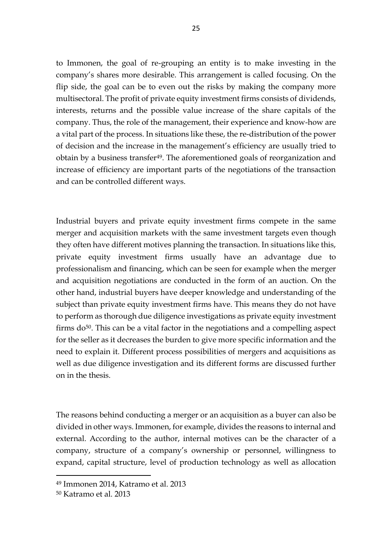to Immonen, the goal of re-grouping an entity is to make investing in the company's shares more desirable. This arrangement is called focusing. On the flip side, the goal can be to even out the risks by making the company more multisectoral. The profit of private equity investment firms consists of dividends, interests, returns and the possible value increase of the share capitals of the company. Thus, the role of the management, their experience and know-how are a vital part of the process. In situations like these, the re-distribution of the power of decision and the increase in the management's efficiency are usually tried to obtain by a business transfer<sup>49</sup>. The aforementioned goals of reorganization and increase of efficiency are important parts of the negotiations of the transaction and can be controlled different ways.

Industrial buyers and private equity investment firms compete in the same merger and acquisition markets with the same investment targets even though they often have different motives planning the transaction. In situations like this, private equity investment firms usually have an advantage due to professionalism and financing, which can be seen for example when the merger and acquisition negotiations are conducted in the form of an auction. On the other hand, industrial buyers have deeper knowledge and understanding of the subject than private equity investment firms have. This means they do not have to perform as thorough due diligence investigations as private equity investment firms  $do^{50}$ . This can be a vital factor in the negotiations and a compelling aspect for the seller as it decreases the burden to give more specific information and the need to explain it. Different process possibilities of mergers and acquisitions as well as due diligence investigation and its different forms are discussed further on in the thesis.

The reasons behind conducting a merger or an acquisition as a buyer can also be divided in other ways. Immonen, for example, divides the reasons to internal and external. According to the author, internal motives can be the character of a company, structure of a company's ownership or personnel, willingness to expand, capital structure, level of production technology as well as allocation

<sup>49</sup> Immonen 2014, Katramo et al. 2013

<sup>50</sup> Katramo et al. 2013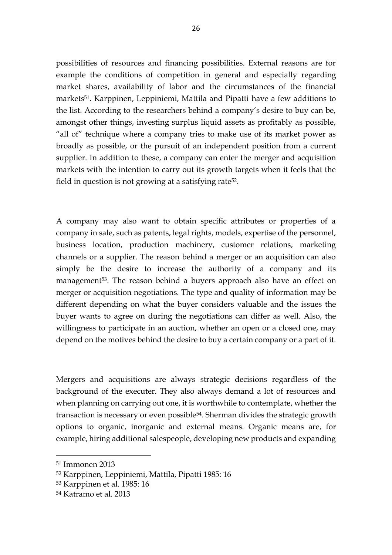possibilities of resources and financing possibilities. External reasons are for example the conditions of competition in general and especially regarding market shares, availability of labor and the circumstances of the financial markets<sup>51</sup>. Karppinen, Leppiniemi, Mattila and Pipatti have a few additions to the list. According to the researchers behind a company's desire to buy can be, amongst other things, investing surplus liquid assets as profitably as possible, "all of" technique where a company tries to make use of its market power as broadly as possible, or the pursuit of an independent position from a current supplier. In addition to these, a company can enter the merger and acquisition markets with the intention to carry out its growth targets when it feels that the field in question is not growing at a satisfying rate52.

A company may also want to obtain specific attributes or properties of a company in sale, such as patents, legal rights, models, expertise of the personnel, business location, production machinery, customer relations, marketing channels or a supplier. The reason behind a merger or an acquisition can also simply be the desire to increase the authority of a company and its management<sup>53</sup>. The reason behind a buyers approach also have an effect on merger or acquisition negotiations. The type and quality of information may be different depending on what the buyer considers valuable and the issues the buyer wants to agree on during the negotiations can differ as well. Also, the willingness to participate in an auction, whether an open or a closed one, may depend on the motives behind the desire to buy a certain company or a part of it.

Mergers and acquisitions are always strategic decisions regardless of the background of the executer. They also always demand a lot of resources and when planning on carrying out one, it is worthwhile to contemplate, whether the transaction is necessary or even possible54. Sherman divides the strategic growth options to organic, inorganic and external means. Organic means are, for example, hiring additional salespeople, developing new products and expanding

<sup>51</sup> Immonen 2013

<sup>52</sup> Karppinen, Leppiniemi, Mattila, Pipatti 1985: 16

<sup>53</sup> Karppinen et al. 1985: 16

<sup>54</sup> Katramo et al. 2013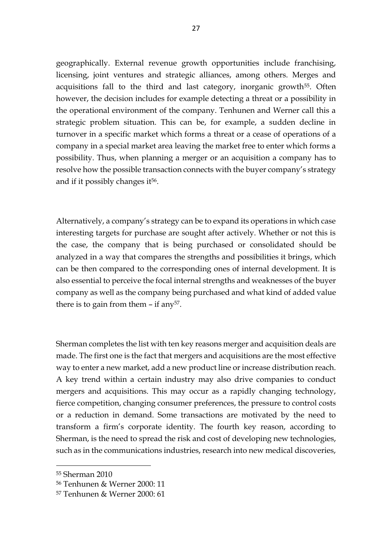geographically. External revenue growth opportunities include franchising, licensing, joint ventures and strategic alliances, among others. Merges and acquisitions fall to the third and last category, inorganic growth<sup>55</sup>. Often however, the decision includes for example detecting a threat or a possibility in the operational environment of the company. Tenhunen and Werner call this a strategic problem situation. This can be, for example, a sudden decline in turnover in a specific market which forms a threat or a cease of operations of a company in a special market area leaving the market free to enter which forms a possibility. Thus, when planning a merger or an acquisition a company has to resolve how the possible transaction connects with the buyer company's strategy and if it possibly changes it<sup>56</sup>.

Alternatively, a company's strategy can be to expand its operations in which case interesting targets for purchase are sought after actively. Whether or not this is the case, the company that is being purchased or consolidated should be analyzed in a way that compares the strengths and possibilities it brings, which can be then compared to the corresponding ones of internal development. It is also essential to perceive the focal internal strengths and weaknesses of the buyer company as well as the company being purchased and what kind of added value there is to gain from them  $-$  if any<sup>57</sup>.

Sherman completes the list with ten key reasons merger and acquisition deals are made. The first one is the fact that mergers and acquisitions are the most effective way to enter a new market, add a new product line or increase distribution reach. A key trend within a certain industry may also drive companies to conduct mergers and acquisitions. This may occur as a rapidly changing technology, fierce competition, changing consumer preferences, the pressure to control costs or a reduction in demand. Some transactions are motivated by the need to transform a firm's corporate identity. The fourth key reason, according to Sherman, is the need to spread the risk and cost of developing new technologies, such as in the communications industries, research into new medical discoveries,

<sup>55</sup> Sherman 2010

<sup>56</sup> Tenhunen & Werner 2000: 11

<sup>57</sup> Tenhunen & Werner 2000: 61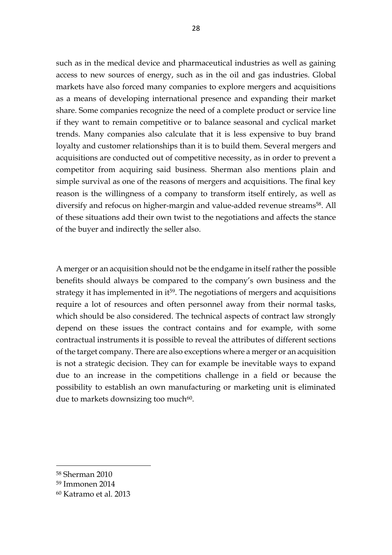such as in the medical device and pharmaceutical industries as well as gaining access to new sources of energy, such as in the oil and gas industries. Global markets have also forced many companies to explore mergers and acquisitions as a means of developing international presence and expanding their market share. Some companies recognize the need of a complete product or service line if they want to remain competitive or to balance seasonal and cyclical market trends. Many companies also calculate that it is less expensive to buy brand loyalty and customer relationships than it is to build them. Several mergers and acquisitions are conducted out of competitive necessity, as in order to prevent a competitor from acquiring said business. Sherman also mentions plain and simple survival as one of the reasons of mergers and acquisitions. The final key reason is the willingness of a company to transform itself entirely, as well as diversify and refocus on higher-margin and value-added revenue streams<sup>58</sup>. All of these situations add their own twist to the negotiations and affects the stance of the buyer and indirectly the seller also.

A merger or an acquisition should not be the endgame in itself rather the possible benefits should always be compared to the company's own business and the strategy it has implemented in it<sup>59</sup>. The negotiations of mergers and acquisitions require a lot of resources and often personnel away from their normal tasks, which should be also considered. The technical aspects of contract law strongly depend on these issues the contract contains and for example, with some contractual instruments it is possible to reveal the attributes of different sections of the target company. There are also exceptions where a merger or an acquisition is not a strategic decision. They can for example be inevitable ways to expand due to an increase in the competitions challenge in a field or because the possibility to establish an own manufacturing or marketing unit is eliminated due to markets downsizing too much $60$ .

<sup>58</sup> Sherman 2010

<sup>59</sup> Immonen 2014

<sup>60</sup> Katramo et al. 2013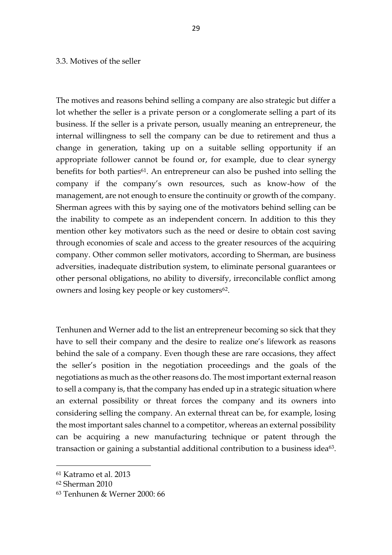#### 3.3. Motives of the seller

The motives and reasons behind selling a company are also strategic but differ a lot whether the seller is a private person or a conglomerate selling a part of its business. If the seller is a private person, usually meaning an entrepreneur, the internal willingness to sell the company can be due to retirement and thus a change in generation, taking up on a suitable selling opportunity if an appropriate follower cannot be found or, for example, due to clear synergy benefits for both parties<sup>61</sup>. An entrepreneur can also be pushed into selling the company if the company's own resources, such as know-how of the management, are not enough to ensure the continuity or growth of the company. Sherman agrees with this by saying one of the motivators behind selling can be the inability to compete as an independent concern. In addition to this they mention other key motivators such as the need or desire to obtain cost saving through economies of scale and access to the greater resources of the acquiring company. Other common seller motivators, according to Sherman, are business adversities, inadequate distribution system, to eliminate personal guarantees or other personal obligations, no ability to diversify, irreconcilable conflict among owners and losing key people or key customers<sup>62</sup>.

Tenhunen and Werner add to the list an entrepreneur becoming so sick that they have to sell their company and the desire to realize one's lifework as reasons behind the sale of a company. Even though these are rare occasions, they affect the seller's position in the negotiation proceedings and the goals of the negotiations as much as the other reasons do. The most important external reason to sell a company is, that the company has ended up in a strategic situation where an external possibility or threat forces the company and its owners into considering selling the company. An external threat can be, for example, losing the most important sales channel to a competitor, whereas an external possibility can be acquiring a new manufacturing technique or patent through the transaction or gaining a substantial additional contribution to a business idea<sup>63</sup>.

<sup>61</sup> Katramo et al. 2013

<sup>62</sup> Sherman 2010

<sup>63</sup> Tenhunen & Werner 2000: 66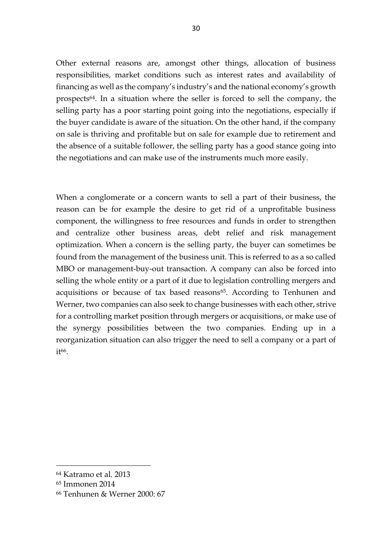Other external reasons are, amongst other things, allocation of business responsibilities, market conditions such as interest rates and availability of financing as well as the company's industry's and the national economy's growth prospects64. In a situation where the seller is forced to sell the company, the selling party has a poor starting point going into the negotiations, especially if the buyer candidate is aware of the situation. On the other hand, if the company on sale is thriving and profitable but on sale for example due to retirement and the absence of a suitable follower, the selling party has a good stance going into the negotiations and can make use of the instruments much more easily.

When a conglomerate or a concern wants to sell a part of their business, the reason can be for example the desire to get rid of a unprofitable business component, the willingness to free resources and funds in order to strengthen and centralize other business areas, debt relief and risk management optimization. When a concern is the selling party, the buyer can sometimes be found from the management of the business unit. This is referred to as a so called MBO or management-buy-out transaction. A company can also be forced into selling the whole entity or a part of it due to legislation controlling mergers and acquisitions or because of tax based reasons<sup>65</sup>. According to Tenhunen and Werner, two companies can also seek to change businesses with each other, strive for a controlling market position through mergers or acquisitions, or make use of the synergy possibilities between the two companies. Ending up in a reorganization situation can also trigger the need to sell a company or a part of i<sup>+66</sup>.

<sup>64</sup> Katramo et al. 2013

<sup>65</sup> Immonen 2014

<sup>66</sup> Tenhunen & Werner 2000: 67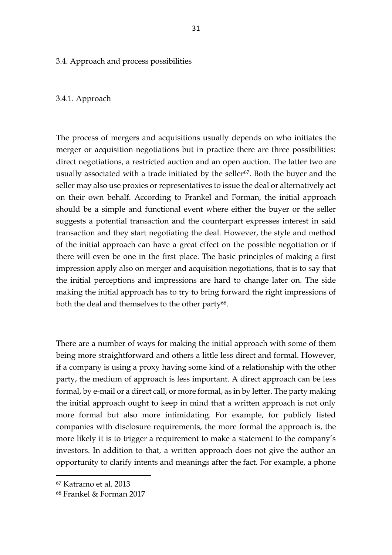3.4. Approach and process possibilities

#### 3.4.1. Approach

The process of mergers and acquisitions usually depends on who initiates the merger or acquisition negotiations but in practice there are three possibilities: direct negotiations, a restricted auction and an open auction. The latter two are usually associated with a trade initiated by the seller<sup>67</sup>. Both the buyer and the seller may also use proxies or representatives to issue the deal or alternatively act on their own behalf. According to Frankel and Forman, the initial approach should be a simple and functional event where either the buyer or the seller suggests a potential transaction and the counterpart expresses interest in said transaction and they start negotiating the deal. However, the style and method of the initial approach can have a great effect on the possible negotiation or if there will even be one in the first place. The basic principles of making a first impression apply also on merger and acquisition negotiations, that is to say that the initial perceptions and impressions are hard to change later on. The side making the initial approach has to try to bring forward the right impressions of both the deal and themselves to the other party<sup>68</sup>.

There are a number of ways for making the initial approach with some of them being more straightforward and others a little less direct and formal. However, if a company is using a proxy having some kind of a relationship with the other party, the medium of approach is less important. A direct approach can be less formal, by e-mail or a direct call, or more formal, as in by letter. The party making the initial approach ought to keep in mind that a written approach is not only more formal but also more intimidating. For example, for publicly listed companies with disclosure requirements, the more formal the approach is, the more likely it is to trigger a requirement to make a statement to the company's investors. In addition to that, a written approach does not give the author an opportunity to clarify intents and meanings after the fact. For example, a phone

<sup>67</sup> Katramo et al. 2013

<sup>68</sup> Frankel & Forman 2017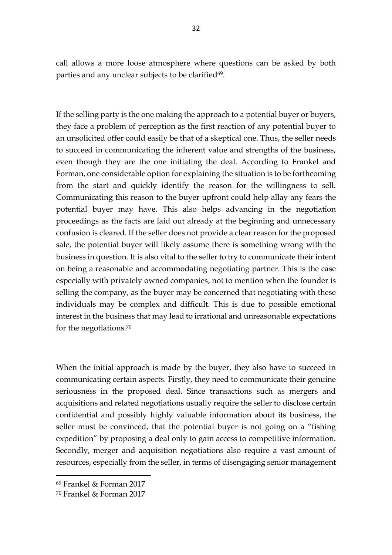call allows a more loose atmosphere where questions can be asked by both parties and any unclear subjects to be clarified<sup>69</sup>.

If the selling party is the one making the approach to a potential buyer or buyers, they face a problem of perception as the first reaction of any potential buyer to an unsolicited offer could easily be that of a skeptical one. Thus, the seller needs to succeed in communicating the inherent value and strengths of the business, even though they are the one initiating the deal. According to Frankel and Forman, one considerable option for explaining the situation is to be forthcoming from the start and quickly identify the reason for the willingness to sell. Communicating this reason to the buyer upfront could help allay any fears the potential buyer may have. This also helps advancing in the negotiation proceedings as the facts are laid out already at the beginning and unnecessary confusion is cleared. If the seller does not provide a clear reason for the proposed sale, the potential buyer will likely assume there is something wrong with the business in question. It is also vital to the seller to try to communicate their intent on being a reasonable and accommodating negotiating partner. This is the case especially with privately owned companies, not to mention when the founder is selling the company, as the buyer may be concerned that negotiating with these individuals may be complex and difficult. This is due to possible emotional interest in the business that may lead to irrational and unreasonable expectations for the negotiations.<sup>70</sup>

When the initial approach is made by the buyer, they also have to succeed in communicating certain aspects. Firstly, they need to communicate their genuine seriousness in the proposed deal. Since transactions such as mergers and acquisitions and related negotiations usually require the seller to disclose certain confidential and possibly highly valuable information about its business, the seller must be convinced, that the potential buyer is not going on a "fishing expedition" by proposing a deal only to gain access to competitive information. Secondly, merger and acquisition negotiations also require a vast amount of resources, especially from the seller, in terms of disengaging senior management

<sup>69</sup> Frankel & Forman 2017

<sup>70</sup> Frankel & Forman 2017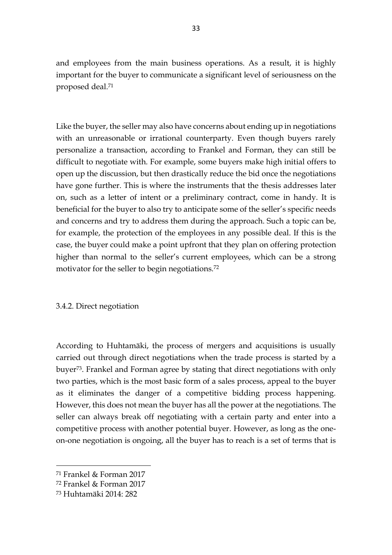and employees from the main business operations. As a result, it is highly important for the buyer to communicate a significant level of seriousness on the proposed deal.<sup>71</sup>

Like the buyer, the seller may also have concerns about ending up in negotiations with an unreasonable or irrational counterparty. Even though buyers rarely personalize a transaction, according to Frankel and Forman, they can still be difficult to negotiate with. For example, some buyers make high initial offers to open up the discussion, but then drastically reduce the bid once the negotiations have gone further. This is where the instruments that the thesis addresses later on, such as a letter of intent or a preliminary contract, come in handy. It is beneficial for the buyer to also try to anticipate some of the seller's specific needs and concerns and try to address them during the approach. Such a topic can be, for example, the protection of the employees in any possible deal. If this is the case, the buyer could make a point upfront that they plan on offering protection higher than normal to the seller's current employees, which can be a strong motivator for the seller to begin negotiations.<sup>72</sup>

### 3.4.2. Direct negotiation

According to Huhtamäki, the process of mergers and acquisitions is usually carried out through direct negotiations when the trade process is started by a buyer73. Frankel and Forman agree by stating that direct negotiations with only two parties, which is the most basic form of a sales process, appeal to the buyer as it eliminates the danger of a competitive bidding process happening. However, this does not mean the buyer has all the power at the negotiations. The seller can always break off negotiating with a certain party and enter into a competitive process with another potential buyer. However, as long as the oneon-one negotiation is ongoing, all the buyer has to reach is a set of terms that is

<sup>71</sup> Frankel & Forman 2017

<sup>72</sup> Frankel & Forman 2017

<sup>73</sup> Huhtamäki 2014: 282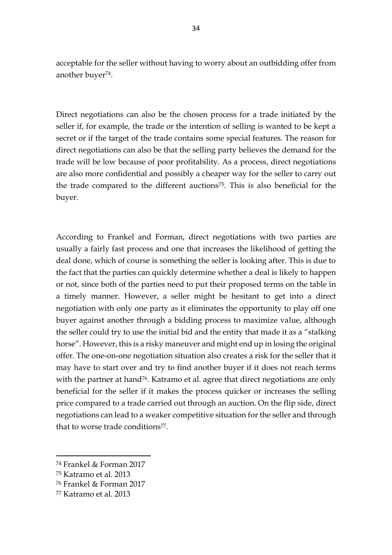acceptable for the seller without having to worry about an outbidding offer from another buyer<sup>74</sup>.

Direct negotiations can also be the chosen process for a trade initiated by the seller if, for example, the trade or the intention of selling is wanted to be kept a secret or if the target of the trade contains some special features. The reason for direct negotiations can also be that the selling party believes the demand for the trade will be low because of poor profitability. As a process, direct negotiations are also more confidential and possibly a cheaper way for the seller to carry out the trade compared to the different auctions75. This is also beneficial for the buyer.

According to Frankel and Forman, direct negotiations with two parties are usually a fairly fast process and one that increases the likelihood of getting the deal done, which of course is something the seller is looking after. This is due to the fact that the parties can quickly determine whether a deal is likely to happen or not, since both of the parties need to put their proposed terms on the table in a timely manner. However, a seller might be hesitant to get into a direct negotiation with only one party as it eliminates the opportunity to play off one buyer against another through a bidding process to maximize value, although the seller could try to use the initial bid and the entity that made it as a "stalking horse". However, this is a risky maneuver and might end up in losing the original offer. The one-on-one negotiation situation also creates a risk for the seller that it may have to start over and try to find another buyer if it does not reach terms with the partner at hand<sup>76</sup>. Katramo et al. agree that direct negotiations are only beneficial for the seller if it makes the process quicker or increases the selling price compared to a trade carried out through an auction. On the flip side, direct negotiations can lead to a weaker competitive situation for the seller and through that to worse trade conditions<sup>77</sup>.

<sup>74</sup> Frankel & Forman 2017

<sup>75</sup> Katramo et al. 2013

<sup>76</sup> Frankel & Forman 2017

<sup>77</sup> Katramo et al. 2013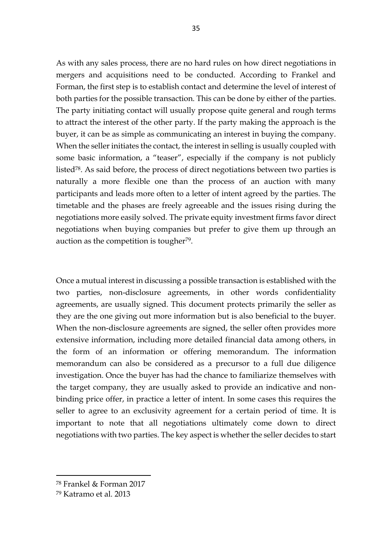As with any sales process, there are no hard rules on how direct negotiations in mergers and acquisitions need to be conducted. According to Frankel and Forman, the first step is to establish contact and determine the level of interest of both parties for the possible transaction. This can be done by either of the parties. The party initiating contact will usually propose quite general and rough terms to attract the interest of the other party. If the party making the approach is the buyer, it can be as simple as communicating an interest in buying the company. When the seller initiates the contact, the interest in selling is usually coupled with some basic information, a "teaser", especially if the company is not publicly listed78. As said before, the process of direct negotiations between two parties is naturally a more flexible one than the process of an auction with many participants and leads more often to a letter of intent agreed by the parties. The timetable and the phases are freely agreeable and the issues rising during the negotiations more easily solved. The private equity investment firms favor direct negotiations when buying companies but prefer to give them up through an auction as the competition is tougher<sup>79</sup>.

Once a mutual interest in discussing a possible transaction is established with the two parties, non-disclosure agreements, in other words confidentiality agreements, are usually signed. This document protects primarily the seller as they are the one giving out more information but is also beneficial to the buyer. When the non-disclosure agreements are signed, the seller often provides more extensive information, including more detailed financial data among others, in the form of an information or offering memorandum. The information memorandum can also be considered as a precursor to a full due diligence investigation. Once the buyer has had the chance to familiarize themselves with the target company, they are usually asked to provide an indicative and nonbinding price offer, in practice a letter of intent. In some cases this requires the seller to agree to an exclusivity agreement for a certain period of time. It is important to note that all negotiations ultimately come down to direct negotiations with two parties. The key aspect is whether the seller decides to start

<sup>78</sup> Frankel & Forman 2017

<sup>79</sup> Katramo et al. 2013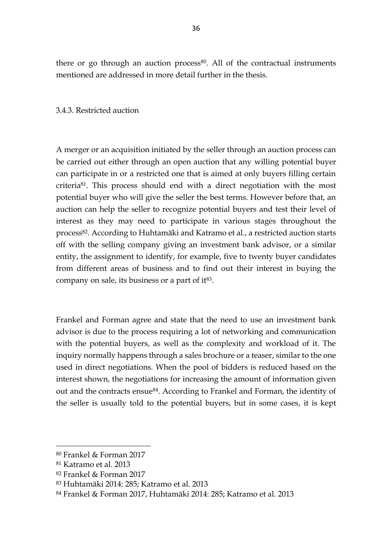there or go through an auction process<sup>80</sup>. All of the contractual instruments mentioned are addressed in more detail further in the thesis.

### 3.4.3. Restricted auction

A merger or an acquisition initiated by the seller through an auction process can be carried out either through an open auction that any willing potential buyer can participate in or a restricted one that is aimed at only buyers filling certain criteria81. This process should end with a direct negotiation with the most potential buyer who will give the seller the best terms. However before that, an auction can help the seller to recognize potential buyers and test their level of interest as they may need to participate in various stages throughout the process82. According to Huhtamäki and Katramo et al., a restricted auction starts off with the selling company giving an investment bank advisor, or a similar entity, the assignment to identify, for example, five to twenty buyer candidates from different areas of business and to find out their interest in buying the company on sale, its business or a part of it<sup>83</sup>.

Frankel and Forman agree and state that the need to use an investment bank advisor is due to the process requiring a lot of networking and communication with the potential buyers, as well as the complexity and workload of it. The inquiry normally happens through a sales brochure or a teaser, similar to the one used in direct negotiations. When the pool of bidders is reduced based on the interest shown, the negotiations for increasing the amount of information given out and the contracts ensue<sup>84</sup>. According to Frankel and Forman, the identity of the seller is usually told to the potential buyers, but in some cases, it is kept

<sup>80</sup> Frankel & Forman 2017

<sup>81</sup> Katramo et al. 2013

<sup>82</sup> Frankel & Forman 2017

<sup>83</sup> Huhtamäki 2014: 285; Katramo et al. 2013

<sup>84</sup> Frankel & Forman 2017, Huhtamäki 2014: 285; Katramo et al. 2013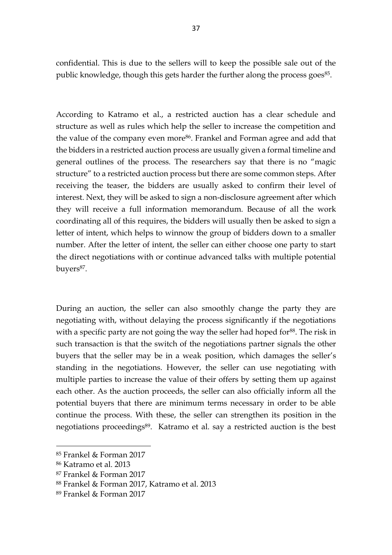confidential. This is due to the sellers will to keep the possible sale out of the public knowledge, though this gets harder the further along the process goes<sup>85</sup>.

According to Katramo et al., a restricted auction has a clear schedule and structure as well as rules which help the seller to increase the competition and the value of the company even more<sup>86</sup>. Frankel and Forman agree and add that the bidders in a restricted auction process are usually given a formal timeline and general outlines of the process. The researchers say that there is no "magic structure" to a restricted auction process but there are some common steps. After receiving the teaser, the bidders are usually asked to confirm their level of interest. Next, they will be asked to sign a non-disclosure agreement after which they will receive a full information memorandum. Because of all the work coordinating all of this requires, the bidders will usually then be asked to sign a letter of intent, which helps to winnow the group of bidders down to a smaller number. After the letter of intent, the seller can either choose one party to start the direct negotiations with or continue advanced talks with multiple potential buyers<sup>87</sup>.

During an auction, the seller can also smoothly change the party they are negotiating with, without delaying the process significantly if the negotiations with a specific party are not going the way the seller had hoped for<sup>88</sup>. The risk in such transaction is that the switch of the negotiations partner signals the other buyers that the seller may be in a weak position, which damages the seller's standing in the negotiations. However, the seller can use negotiating with multiple parties to increase the value of their offers by setting them up against each other. As the auction proceeds, the seller can also officially inform all the potential buyers that there are minimum terms necessary in order to be able continue the process. With these, the seller can strengthen its position in the negotiations proceedings<sup>89</sup>. Katramo et al. say a restricted auction is the best

<sup>85</sup> Frankel & Forman 2017

<sup>86</sup> Katramo et al. 2013

<sup>87</sup> Frankel & Forman 2017

<sup>88</sup> Frankel & Forman 2017, Katramo et al. 2013

<sup>89</sup> Frankel & Forman 2017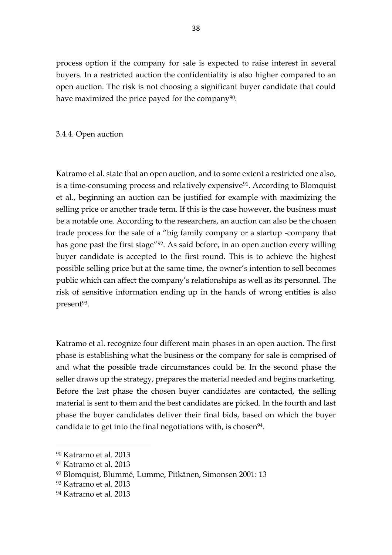process option if the company for sale is expected to raise interest in several buyers. In a restricted auction the confidentiality is also higher compared to an open auction. The risk is not choosing a significant buyer candidate that could have maximized the price payed for the company<sup>90</sup>.

3.4.4. Open auction

Katramo et al. state that an open auction, and to some extent a restricted one also, is a time-consuming process and relatively expensive<sup>91</sup>. According to Blomquist et al., beginning an auction can be justified for example with maximizing the selling price or another trade term. If this is the case however, the business must be a notable one. According to the researchers, an auction can also be the chosen trade process for the sale of a "big family company or a startup -company that has gone past the first stage"92. As said before, in an open auction every willing buyer candidate is accepted to the first round. This is to achieve the highest possible selling price but at the same time, the owner's intention to sell becomes public which can affect the company's relationships as well as its personnel. The risk of sensitive information ending up in the hands of wrong entities is also present<sup>93</sup>.

Katramo et al. recognize four different main phases in an open auction. The first phase is establishing what the business or the company for sale is comprised of and what the possible trade circumstances could be. In the second phase the seller draws up the strategy, prepares the material needed and begins marketing. Before the last phase the chosen buyer candidates are contacted, the selling material is sent to them and the best candidates are picked. In the fourth and last phase the buyer candidates deliver their final bids, based on which the buyer candidate to get into the final negotiations with, is chosen<sup>94</sup>.

<sup>90</sup> Katramo et al. 2013

<sup>91</sup> Katramo et al. 2013

<sup>92</sup> Blomquist, Blummé, Lumme, Pitkänen, Simonsen 2001: 13

<sup>93</sup> Katramo et al. 2013

<sup>94</sup> Katramo et al. 2013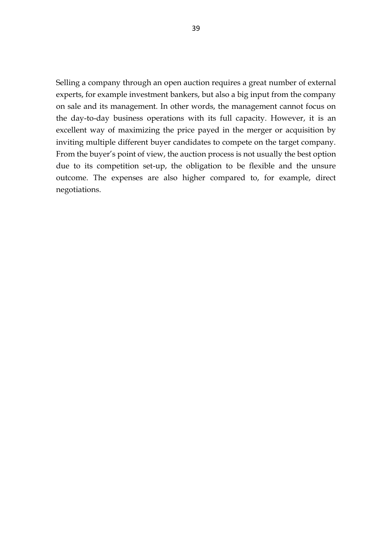Selling a company through an open auction requires a great number of external experts, for example investment bankers, but also a big input from the company on sale and its management. In other words, the management cannot focus on the day-to-day business operations with its full capacity. However, it is an excellent way of maximizing the price payed in the merger or acquisition by inviting multiple different buyer candidates to compete on the target company. From the buyer's point of view, the auction process is not usually the best option due to its competition set-up, the obligation to be flexible and the unsure outcome. The expenses are also higher compared to, for example, direct negotiations.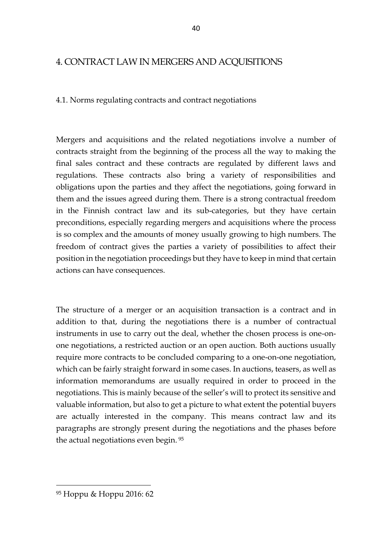# 4. CONTRACT LAW IN MERGERS AND ACQUISITIONS

## 4.1. Norms regulating contracts and contract negotiations

Mergers and acquisitions and the related negotiations involve a number of contracts straight from the beginning of the process all the way to making the final sales contract and these contracts are regulated by different laws and regulations. These contracts also bring a variety of responsibilities and obligations upon the parties and they affect the negotiations, going forward in them and the issues agreed during them. There is a strong contractual freedom in the Finnish contract law and its sub-categories, but they have certain preconditions, especially regarding mergers and acquisitions where the process is so complex and the amounts of money usually growing to high numbers. The freedom of contract gives the parties a variety of possibilities to affect their position in the negotiation proceedings but they have to keep in mind that certain actions can have consequences.

The structure of a merger or an acquisition transaction is a contract and in addition to that, during the negotiations there is a number of contractual instruments in use to carry out the deal, whether the chosen process is one-onone negotiations, a restricted auction or an open auction. Both auctions usually require more contracts to be concluded comparing to a one-on-one negotiation, which can be fairly straight forward in some cases. In auctions, teasers, as well as information memorandums are usually required in order to proceed in the negotiations. This is mainly because of the seller's will to protect its sensitive and valuable information, but also to get a picture to what extent the potential buyers are actually interested in the company. This means contract law and its paragraphs are strongly present during the negotiations and the phases before the actual negotiations even begin. 95

<sup>95</sup> Hoppu & Hoppu 2016: 62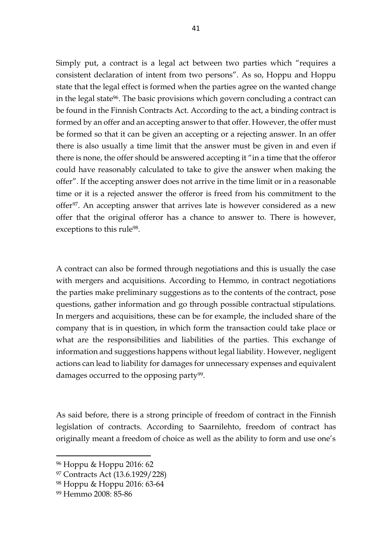Simply put, a contract is a legal act between two parties which "requires a consistent declaration of intent from two persons". As so, Hoppu and Hoppu state that the legal effect is formed when the parties agree on the wanted change in the legal state<sup>96</sup>. The basic provisions which govern concluding a contract can be found in the Finnish Contracts Act. According to the act, a binding contract is formed by an offer and an accepting answer to that offer. However, the offer must be formed so that it can be given an accepting or a rejecting answer. In an offer there is also usually a time limit that the answer must be given in and even if there is none, the offer should be answered accepting it "in a time that the offeror could have reasonably calculated to take to give the answer when making the offer". If the accepting answer does not arrive in the time limit or in a reasonable time or it is a rejected answer the offeror is freed from his commitment to the offer97. An accepting answer that arrives late is however considered as a new offer that the original offeror has a chance to answer to. There is however, exceptions to this rule<sup>98</sup>.

A contract can also be formed through negotiations and this is usually the case with mergers and acquisitions. According to Hemmo, in contract negotiations the parties make preliminary suggestions as to the contents of the contract, pose questions, gather information and go through possible contractual stipulations. In mergers and acquisitions, these can be for example, the included share of the company that is in question, in which form the transaction could take place or what are the responsibilities and liabilities of the parties. This exchange of information and suggestions happens without legal liability. However, negligent actions can lead to liability for damages for unnecessary expenses and equivalent damages occurred to the opposing party<sup>99</sup>.

As said before, there is a strong principle of freedom of contract in the Finnish legislation of contracts. According to Saarnilehto, freedom of contract has originally meant a freedom of choice as well as the ability to form and use one's

<sup>96</sup> Hoppu & Hoppu 2016: 62

<sup>97</sup> Contracts Act (13.6.1929/228)

<sup>98</sup> Hoppu & Hoppu 2016: 63-64

<sup>99</sup> Hemmo 2008: 85-86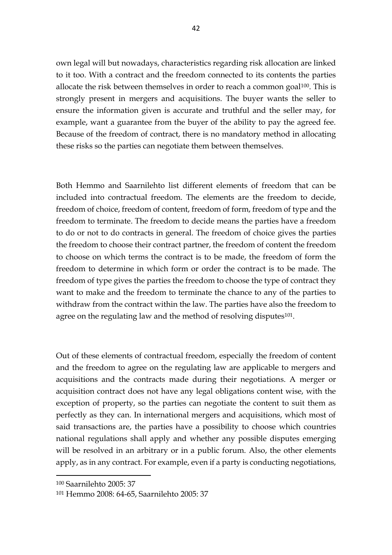own legal will but nowadays, characteristics regarding risk allocation are linked to it too. With a contract and the freedom connected to its contents the parties allocate the risk between themselves in order to reach a common goal<sup>100</sup>. This is strongly present in mergers and acquisitions. The buyer wants the seller to ensure the information given is accurate and truthful and the seller may, for example, want a guarantee from the buyer of the ability to pay the agreed fee. Because of the freedom of contract, there is no mandatory method in allocating these risks so the parties can negotiate them between themselves.

Both Hemmo and Saarnilehto list different elements of freedom that can be included into contractual freedom. The elements are the freedom to decide, freedom of choice, freedom of content, freedom of form, freedom of type and the freedom to terminate. The freedom to decide means the parties have a freedom to do or not to do contracts in general. The freedom of choice gives the parties the freedom to choose their contract partner, the freedom of content the freedom to choose on which terms the contract is to be made, the freedom of form the freedom to determine in which form or order the contract is to be made. The freedom of type gives the parties the freedom to choose the type of contract they want to make and the freedom to terminate the chance to any of the parties to withdraw from the contract within the law. The parties have also the freedom to agree on the regulating law and the method of resolving disputes<sup>101</sup>.

Out of these elements of contractual freedom, especially the freedom of content and the freedom to agree on the regulating law are applicable to mergers and acquisitions and the contracts made during their negotiations. A merger or acquisition contract does not have any legal obligations content wise, with the exception of property, so the parties can negotiate the content to suit them as perfectly as they can. In international mergers and acquisitions, which most of said transactions are, the parties have a possibility to choose which countries national regulations shall apply and whether any possible disputes emerging will be resolved in an arbitrary or in a public forum. Also, the other elements apply, as in any contract. For example, even if a party is conducting negotiations,

<sup>100</sup> Saarnilehto 2005: 37

<sup>101</sup> Hemmo 2008: 64-65, Saarnilehto 2005: 37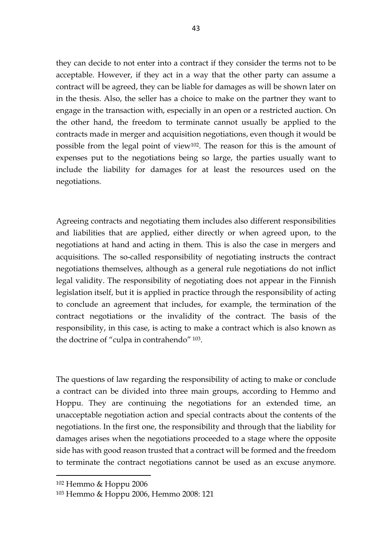they can decide to not enter into a contract if they consider the terms not to be acceptable. However, if they act in a way that the other party can assume a contract will be agreed, they can be liable for damages as will be shown later on in the thesis. Also, the seller has a choice to make on the partner they want to engage in the transaction with, especially in an open or a restricted auction. On the other hand, the freedom to terminate cannot usually be applied to the contracts made in merger and acquisition negotiations, even though it would be possible from the legal point of view102. The reason for this is the amount of expenses put to the negotiations being so large, the parties usually want to include the liability for damages for at least the resources used on the negotiations.

Agreeing contracts and negotiating them includes also different responsibilities and liabilities that are applied, either directly or when agreed upon, to the negotiations at hand and acting in them. This is also the case in mergers and acquisitions. The so-called responsibility of negotiating instructs the contract negotiations themselves, although as a general rule negotiations do not inflict legal validity. The responsibility of negotiating does not appear in the Finnish legislation itself, but it is applied in practice through the responsibility of acting to conclude an agreement that includes, for example, the termination of the contract negotiations or the invalidity of the contract. The basis of the responsibility, in this case, is acting to make a contract which is also known as the doctrine of "culpa in contrahendo" <sup>103</sup>.

The questions of law regarding the responsibility of acting to make or conclude a contract can be divided into three main groups, according to Hemmo and Hoppu. They are continuing the negotiations for an extended time, an unacceptable negotiation action and special contracts about the contents of the negotiations. In the first one, the responsibility and through that the liability for damages arises when the negotiations proceeded to a stage where the opposite side has with good reason trusted that a contract will be formed and the freedom to terminate the contract negotiations cannot be used as an excuse anymore.

<sup>102</sup> Hemmo & Hoppu 2006

<sup>103</sup> Hemmo & Hoppu 2006, Hemmo 2008: 121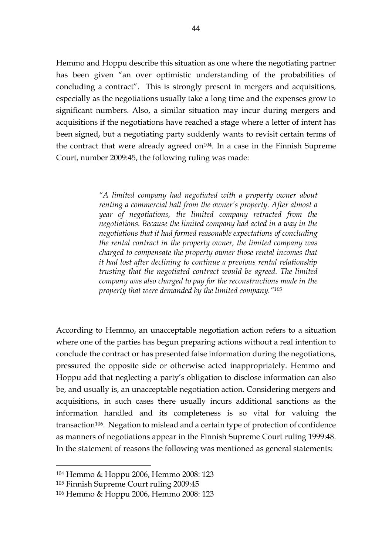Hemmo and Hoppu describe this situation as one where the negotiating partner has been given "an over optimistic understanding of the probabilities of concluding a contract". This is strongly present in mergers and acquisitions, especially as the negotiations usually take a long time and the expenses grow to significant numbers. Also, a similar situation may incur during mergers and acquisitions if the negotiations have reached a stage where a letter of intent has been signed, but a negotiating party suddenly wants to revisit certain terms of the contract that were already agreed on<sup> $104$ </sup>. In a case in the Finnish Supreme Court, number 2009:45, the following ruling was made:

> *"A limited company had negotiated with a property owner about renting a commercial hall from the owner's property. After almost a year of negotiations, the limited company retracted from the negotiations. Because the limited company had acted in a way in the negotiations that it had formed reasonable expectations of concluding the rental contract in the property owner, the limited company was charged to compensate the property owner those rental incomes that it had lost after declining to continue a previous rental relationship trusting that the negotiated contract would be agreed. The limited company was also charged to pay for the reconstructions made in the property that were demanded by the limited company."<sup>105</sup>*

According to Hemmo, an unacceptable negotiation action refers to a situation where one of the parties has begun preparing actions without a real intention to conclude the contract or has presented false information during the negotiations, pressured the opposite side or otherwise acted inappropriately. Hemmo and Hoppu add that neglecting a party's obligation to disclose information can also be, and usually is, an unacceptable negotiation action. Considering mergers and acquisitions, in such cases there usually incurs additional sanctions as the information handled and its completeness is so vital for valuing the transaction<sup>106</sup>. Negation to mislead and a certain type of protection of confidence as manners of negotiations appear in the Finnish Supreme Court ruling 1999:48. In the statement of reasons the following was mentioned as general statements:

<sup>104</sup> Hemmo & Hoppu 2006, Hemmo 2008: 123

<sup>105</sup> Finnish Supreme Court ruling 2009:45

<sup>106</sup> Hemmo & Hoppu 2006, Hemmo 2008: 123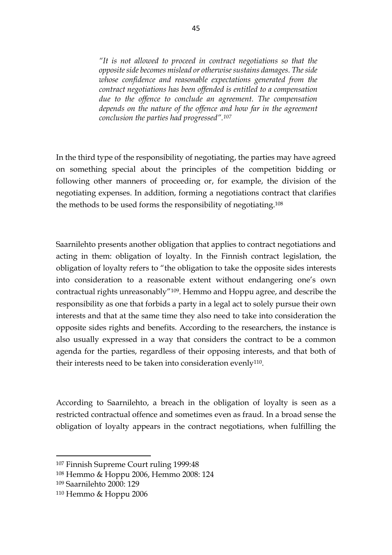*"It is not allowed to proceed in contract negotiations so that the opposite side becomes mislead or otherwise sustains damages. The side whose confidence and reasonable expectations generated from the contract negotiations has been offended is entitled to a compensation due to the offence to conclude an agreement. The compensation depends on the nature of the offence and how far in the agreement conclusion the parties had progressed".<sup>107</sup>*

In the third type of the responsibility of negotiating, the parties may have agreed on something special about the principles of the competition bidding or following other manners of proceeding or, for example, the division of the negotiating expenses. In addition, forming a negotiations contract that clarifies the methods to be used forms the responsibility of negotiating.<sup>108</sup>

Saarnilehto presents another obligation that applies to contract negotiations and acting in them: obligation of loyalty. In the Finnish contract legislation, the obligation of loyalty refers to "the obligation to take the opposite sides interests into consideration to a reasonable extent without endangering one's own contractual rights unreasonably"<sup>109</sup> . Hemmo and Hoppu agree, and describe the responsibility as one that forbids a party in a legal act to solely pursue their own interests and that at the same time they also need to take into consideration the opposite sides rights and benefits. According to the researchers, the instance is also usually expressed in a way that considers the contract to be a common agenda for the parties, regardless of their opposing interests, and that both of their interests need to be taken into consideration evenly<sup>110</sup>.

According to Saarnilehto, a breach in the obligation of loyalty is seen as a restricted contractual offence and sometimes even as fraud. In a broad sense the obligation of loyalty appears in the contract negotiations, when fulfilling the

<sup>107</sup> Finnish Supreme Court ruling 1999:48

<sup>108</sup> Hemmo & Hoppu 2006, Hemmo 2008: 124

<sup>109</sup> Saarnilehto 2000: 129

<sup>110</sup> Hemmo & Hoppu 2006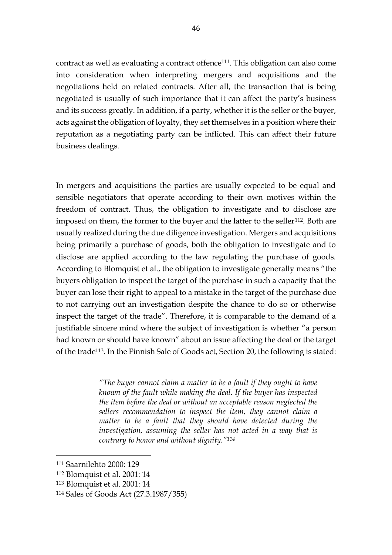contract as well as evaluating a contract offence111. This obligation can also come into consideration when interpreting mergers and acquisitions and the negotiations held on related contracts. After all, the transaction that is being negotiated is usually of such importance that it can affect the party's business and its success greatly. In addition, if a party, whether it is the seller or the buyer, acts against the obligation of loyalty, they set themselves in a position where their reputation as a negotiating party can be inflicted. This can affect their future business dealings.

In mergers and acquisitions the parties are usually expected to be equal and sensible negotiators that operate according to their own motives within the freedom of contract. Thus, the obligation to investigate and to disclose are imposed on them, the former to the buyer and the latter to the seller<sup>112</sup>. Both are usually realized during the due diligence investigation. Mergers and acquisitions being primarily a purchase of goods, both the obligation to investigate and to disclose are applied according to the law regulating the purchase of goods. According to Blomquist et al., the obligation to investigate generally means "the buyers obligation to inspect the target of the purchase in such a capacity that the buyer can lose their right to appeal to a mistake in the target of the purchase due to not carrying out an investigation despite the chance to do so or otherwise inspect the target of the trade". Therefore, it is comparable to the demand of a justifiable sincere mind where the subject of investigation is whether "a person had known or should have known" about an issue affecting the deal or the target of the trade113. In the Finnish Sale of Goods act, Section 20, the following is stated:

> *"The buyer cannot claim a matter to be a fault if they ought to have known of the fault while making the deal. If the buyer has inspected the item before the deal or without an acceptable reason neglected the sellers recommendation to inspect the item, they cannot claim a matter to be a fault that they should have detected during the investigation, assuming the seller has not acted in a way that is contrary to honor and without dignity."<sup>114</sup>*

<sup>111</sup> Saarnilehto 2000: 129

<sup>112</sup> Blomquist et al. 2001: 14

<sup>113</sup> Blomquist et al. 2001: 14

<sup>114</sup> Sales of Goods Act (27.3.1987/355)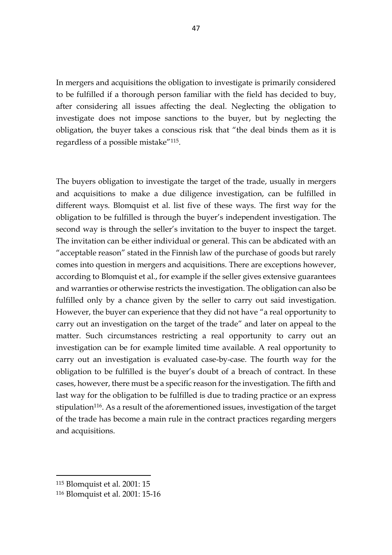In mergers and acquisitions the obligation to investigate is primarily considered to be fulfilled if a thorough person familiar with the field has decided to buy, after considering all issues affecting the deal. Neglecting the obligation to investigate does not impose sanctions to the buyer, but by neglecting the obligation, the buyer takes a conscious risk that "the deal binds them as it is regardless of a possible mistake"115.

The buyers obligation to investigate the target of the trade, usually in mergers and acquisitions to make a due diligence investigation, can be fulfilled in different ways. Blomquist et al. list five of these ways. The first way for the obligation to be fulfilled is through the buyer's independent investigation. The second way is through the seller's invitation to the buyer to inspect the target. The invitation can be either individual or general. This can be abdicated with an "acceptable reason" stated in the Finnish law of the purchase of goods but rarely comes into question in mergers and acquisitions. There are exceptions however, according to Blomquist et al., for example if the seller gives extensive guarantees and warranties or otherwise restricts the investigation. The obligation can also be fulfilled only by a chance given by the seller to carry out said investigation. However, the buyer can experience that they did not have "a real opportunity to carry out an investigation on the target of the trade" and later on appeal to the matter. Such circumstances restricting a real opportunity to carry out an investigation can be for example limited time available. A real opportunity to carry out an investigation is evaluated case-by-case. The fourth way for the obligation to be fulfilled is the buyer's doubt of a breach of contract. In these cases, however, there must be a specific reason for the investigation. The fifth and last way for the obligation to be fulfilled is due to trading practice or an express stipulation<sup>116</sup>. As a result of the aforementioned issues, investigation of the target of the trade has become a main rule in the contract practices regarding mergers and acquisitions.

<sup>115</sup> Blomquist et al. 2001: 15

<sup>116</sup> Blomquist et al. 2001: 15-16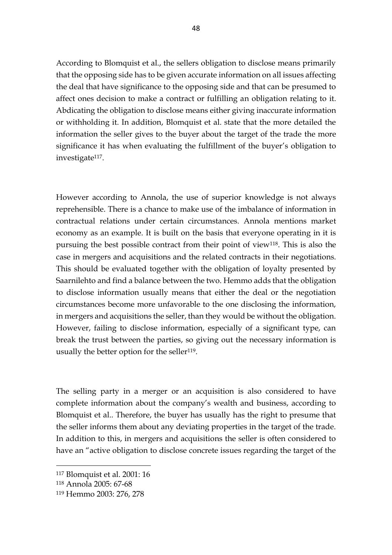According to Blomquist et al., the sellers obligation to disclose means primarily that the opposing side has to be given accurate information on all issues affecting the deal that have significance to the opposing side and that can be presumed to affect ones decision to make a contract or fulfilling an obligation relating to it. Abdicating the obligation to disclose means either giving inaccurate information or withholding it. In addition, Blomquist et al. state that the more detailed the information the seller gives to the buyer about the target of the trade the more significance it has when evaluating the fulfillment of the buyer's obligation to investigate<sup>117</sup>.

However according to Annola, the use of superior knowledge is not always reprehensible. There is a chance to make use of the imbalance of information in contractual relations under certain circumstances. Annola mentions market economy as an example. It is built on the basis that everyone operating in it is pursuing the best possible contract from their point of view118. This is also the case in mergers and acquisitions and the related contracts in their negotiations. This should be evaluated together with the obligation of loyalty presented by Saarnilehto and find a balance between the two. Hemmo adds that the obligation to disclose information usually means that either the deal or the negotiation circumstances become more unfavorable to the one disclosing the information, in mergers and acquisitions the seller, than they would be without the obligation. However, failing to disclose information, especially of a significant type, can break the trust between the parties, so giving out the necessary information is usually the better option for the seller<sup>119</sup>.

The selling party in a merger or an acquisition is also considered to have complete information about the company's wealth and business, according to Blomquist et al.. Therefore, the buyer has usually has the right to presume that the seller informs them about any deviating properties in the target of the trade. In addition to this, in mergers and acquisitions the seller is often considered to have an "active obligation to disclose concrete issues regarding the target of the

<sup>117</sup> Blomquist et al. 2001: 16

<sup>118</sup> Annola 2005: 67-68

<sup>119</sup> Hemmo 2003: 276, 278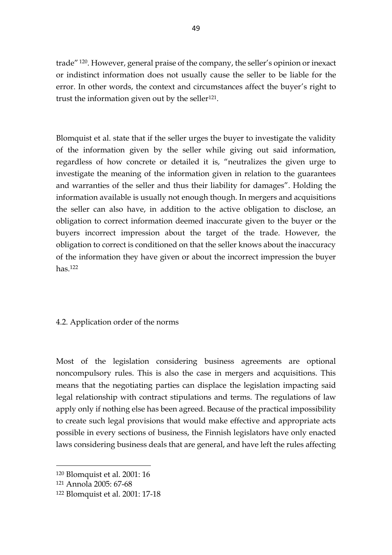trade" <sup>120</sup>. However, general praise of the company, the seller's opinion or inexact or indistinct information does not usually cause the seller to be liable for the error. In other words, the context and circumstances affect the buyer's right to trust the information given out by the seller<sup>121</sup>.

Blomquist et al. state that if the seller urges the buyer to investigate the validity of the information given by the seller while giving out said information, regardless of how concrete or detailed it is, "neutralizes the given urge to investigate the meaning of the information given in relation to the guarantees and warranties of the seller and thus their liability for damages". Holding the information available is usually not enough though. In mergers and acquisitions the seller can also have, in addition to the active obligation to disclose, an obligation to correct information deemed inaccurate given to the buyer or the buyers incorrect impression about the target of the trade. However, the obligation to correct is conditioned on that the seller knows about the inaccuracy of the information they have given or about the incorrect impression the buyer has.<sup>122</sup>

### 4.2. Application order of the norms

Most of the legislation considering business agreements are optional noncompulsory rules. This is also the case in mergers and acquisitions. This means that the negotiating parties can displace the legislation impacting said legal relationship with contract stipulations and terms. The regulations of law apply only if nothing else has been agreed. Because of the practical impossibility to create such legal provisions that would make effective and appropriate acts possible in every sections of business, the Finnish legislators have only enacted laws considering business deals that are general, and have left the rules affecting

<sup>120</sup> Blomquist et al. 2001: 16

<sup>121</sup> Annola 2005: 67-68

<sup>122</sup> Blomquist et al. 2001: 17-18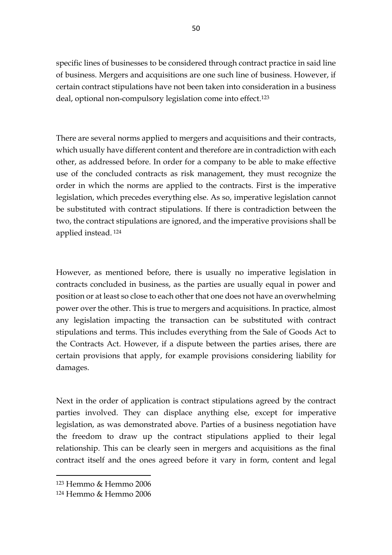specific lines of businesses to be considered through contract practice in said line of business. Mergers and acquisitions are one such line of business. However, if certain contract stipulations have not been taken into consideration in a business deal, optional non-compulsory legislation come into effect.<sup>123</sup>

There are several norms applied to mergers and acquisitions and their contracts, which usually have different content and therefore are in contradiction with each other, as addressed before. In order for a company to be able to make effective use of the concluded contracts as risk management, they must recognize the order in which the norms are applied to the contracts. First is the imperative legislation, which precedes everything else. As so, imperative legislation cannot be substituted with contract stipulations. If there is contradiction between the two, the contract stipulations are ignored, and the imperative provisions shall be applied instead. 124

However, as mentioned before, there is usually no imperative legislation in contracts concluded in business, as the parties are usually equal in power and position or at least so close to each other that one does not have an overwhelming power over the other. This is true to mergers and acquisitions. In practice, almost any legislation impacting the transaction can be substituted with contract stipulations and terms. This includes everything from the Sale of Goods Act to the Contracts Act. However, if a dispute between the parties arises, there are certain provisions that apply, for example provisions considering liability for damages.

Next in the order of application is contract stipulations agreed by the contract parties involved. They can displace anything else, except for imperative legislation, as was demonstrated above. Parties of a business negotiation have the freedom to draw up the contract stipulations applied to their legal relationship. This can be clearly seen in mergers and acquisitions as the final contract itself and the ones agreed before it vary in form, content and legal

<sup>123</sup> Hemmo & Hemmo 2006

<sup>124</sup> Hemmo & Hemmo 2006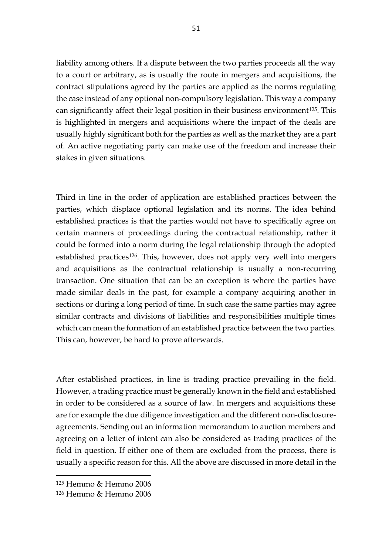liability among others. If a dispute between the two parties proceeds all the way to a court or arbitrary, as is usually the route in mergers and acquisitions, the contract stipulations agreed by the parties are applied as the norms regulating the case instead of any optional non-compulsory legislation. This way a company can significantly affect their legal position in their business environment125. This is highlighted in mergers and acquisitions where the impact of the deals are usually highly significant both for the parties as well as the market they are a part of. An active negotiating party can make use of the freedom and increase their stakes in given situations.

Third in line in the order of application are established practices between the parties, which displace optional legislation and its norms. The idea behind established practices is that the parties would not have to specifically agree on certain manners of proceedings during the contractual relationship, rather it could be formed into a norm during the legal relationship through the adopted established practices<sup>126</sup>. This, however, does not apply very well into mergers and acquisitions as the contractual relationship is usually a non-recurring transaction. One situation that can be an exception is where the parties have made similar deals in the past, for example a company acquiring another in sections or during a long period of time. In such case the same parties may agree similar contracts and divisions of liabilities and responsibilities multiple times which can mean the formation of an established practice between the two parties. This can, however, be hard to prove afterwards.

After established practices, in line is trading practice prevailing in the field. However, a trading practice must be generally known in the field and established in order to be considered as a source of law. In mergers and acquisitions these are for example the due diligence investigation and the different non-disclosureagreements. Sending out an information memorandum to auction members and agreeing on a letter of intent can also be considered as trading practices of the field in question. If either one of them are excluded from the process, there is usually a specific reason for this. All the above are discussed in more detail in the

<sup>125</sup> Hemmo & Hemmo 2006

<sup>126</sup> Hemmo & Hemmo 2006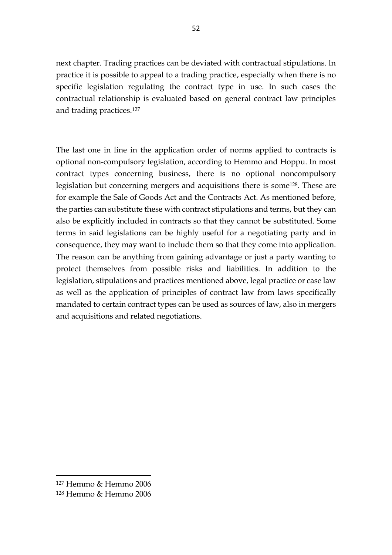next chapter. Trading practices can be deviated with contractual stipulations. In practice it is possible to appeal to a trading practice, especially when there is no specific legislation regulating the contract type in use. In such cases the contractual relationship is evaluated based on general contract law principles and trading practices.<sup>127</sup>

The last one in line in the application order of norms applied to contracts is optional non-compulsory legislation, according to Hemmo and Hoppu. In most contract types concerning business, there is no optional noncompulsory legislation but concerning mergers and acquisitions there is some<sup>128</sup>. These are for example the Sale of Goods Act and the Contracts Act. As mentioned before, the parties can substitute these with contract stipulations and terms, but they can also be explicitly included in contracts so that they cannot be substituted. Some terms in said legislations can be highly useful for a negotiating party and in consequence, they may want to include them so that they come into application. The reason can be anything from gaining advantage or just a party wanting to protect themselves from possible risks and liabilities. In addition to the legislation, stipulations and practices mentioned above, legal practice or case law as well as the application of principles of contract law from laws specifically mandated to certain contract types can be used as sources of law, also in mergers and acquisitions and related negotiations.

<sup>127</sup> Hemmo & Hemmo 2006

<sup>128</sup> Hemmo & Hemmo 2006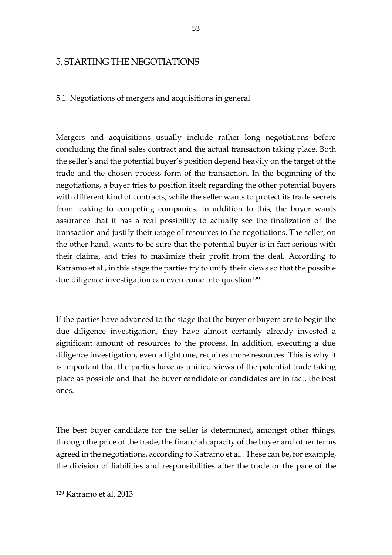## 5. STARTING THE NEGOTIATIONS

5.1. Negotiations of mergers and acquisitions in general

Mergers and acquisitions usually include rather long negotiations before concluding the final sales contract and the actual transaction taking place. Both the seller's and the potential buyer's position depend heavily on the target of the trade and the chosen process form of the transaction. In the beginning of the negotiations, a buyer tries to position itself regarding the other potential buyers with different kind of contracts, while the seller wants to protect its trade secrets from leaking to competing companies. In addition to this, the buyer wants assurance that it has a real possibility to actually see the finalization of the transaction and justify their usage of resources to the negotiations. The seller, on the other hand, wants to be sure that the potential buyer is in fact serious with their claims, and tries to maximize their profit from the deal. According to Katramo et al., in this stage the parties try to unify their views so that the possible due diligence investigation can even come into question<sup>129</sup>.

If the parties have advanced to the stage that the buyer or buyers are to begin the due diligence investigation, they have almost certainly already invested a significant amount of resources to the process. In addition, executing a due diligence investigation, even a light one, requires more resources. This is why it is important that the parties have as unified views of the potential trade taking place as possible and that the buyer candidate or candidates are in fact, the best ones.

The best buyer candidate for the seller is determined, amongst other things, through the price of the trade, the financial capacity of the buyer and other terms agreed in the negotiations, according to Katramo et al.. These can be, for example, the division of liabilities and responsibilities after the trade or the pace of the

<sup>129</sup> Katramo et al. 2013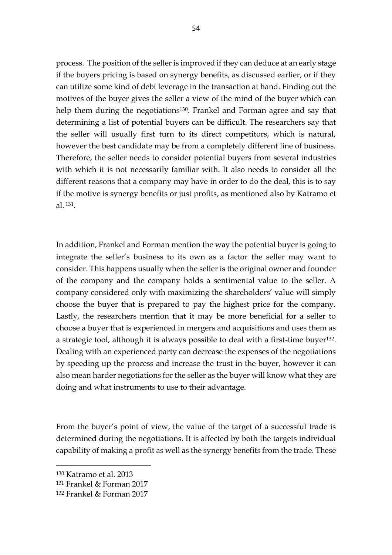process. The position of the seller is improved if they can deduce at an early stage if the buyers pricing is based on synergy benefits, as discussed earlier, or if they can utilize some kind of debt leverage in the transaction at hand. Finding out the motives of the buyer gives the seller a view of the mind of the buyer which can help them during the negotiations<sup>130</sup>. Frankel and Forman agree and say that determining a list of potential buyers can be difficult. The researchers say that the seller will usually first turn to its direct competitors, which is natural, however the best candidate may be from a completely different line of business. Therefore, the seller needs to consider potential buyers from several industries with which it is not necessarily familiar with. It also needs to consider all the different reasons that a company may have in order to do the deal, this is to say if the motive is synergy benefits or just profits, as mentioned also by Katramo et al. <sup>131</sup>.

In addition, Frankel and Forman mention the way the potential buyer is going to integrate the seller's business to its own as a factor the seller may want to consider. This happens usually when the seller is the original owner and founder of the company and the company holds a sentimental value to the seller. A company considered only with maximizing the shareholders' value will simply choose the buyer that is prepared to pay the highest price for the company. Lastly, the researchers mention that it may be more beneficial for a seller to choose a buyer that is experienced in mergers and acquisitions and uses them as a strategic tool, although it is always possible to deal with a first-time buyer<sup>132</sup>. Dealing with an experienced party can decrease the expenses of the negotiations by speeding up the process and increase the trust in the buyer, however it can also mean harder negotiations for the seller as the buyer will know what they are doing and what instruments to use to their advantage.

From the buyer's point of view, the value of the target of a successful trade is determined during the negotiations. It is affected by both the targets individual capability of making a profit as well as the synergy benefits from the trade. These

<sup>130</sup> Katramo et al. 2013

<sup>131</sup> Frankel & Forman 2017

<sup>132</sup> Frankel & Forman 2017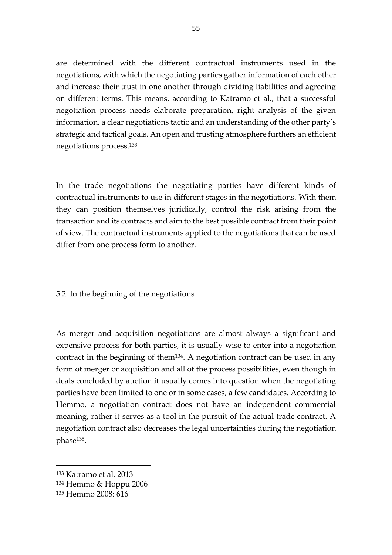are determined with the different contractual instruments used in the negotiations, with which the negotiating parties gather information of each other and increase their trust in one another through dividing liabilities and agreeing on different terms. This means, according to Katramo et al., that a successful negotiation process needs elaborate preparation, right analysis of the given information, a clear negotiations tactic and an understanding of the other party's strategic and tactical goals. An open and trusting atmosphere furthers an efficient negotiations process. 133

In the trade negotiations the negotiating parties have different kinds of contractual instruments to use in different stages in the negotiations. With them they can position themselves juridically, control the risk arising from the transaction and its contracts and aim to the best possible contract from their point of view. The contractual instruments applied to the negotiations that can be used differ from one process form to another.

5.2. In the beginning of the negotiations

As merger and acquisition negotiations are almost always a significant and expensive process for both parties, it is usually wise to enter into a negotiation contract in the beginning of them134. A negotiation contract can be used in any form of merger or acquisition and all of the process possibilities, even though in deals concluded by auction it usually comes into question when the negotiating parties have been limited to one or in some cases, a few candidates. According to Hemmo, a negotiation contract does not have an independent commercial meaning, rather it serves as a tool in the pursuit of the actual trade contract. A negotiation contract also decreases the legal uncertainties during the negotiation phase135.

<sup>133</sup> Katramo et al. 2013

<sup>134</sup> Hemmo & Hoppu 2006

<sup>135</sup> Hemmo 2008: 616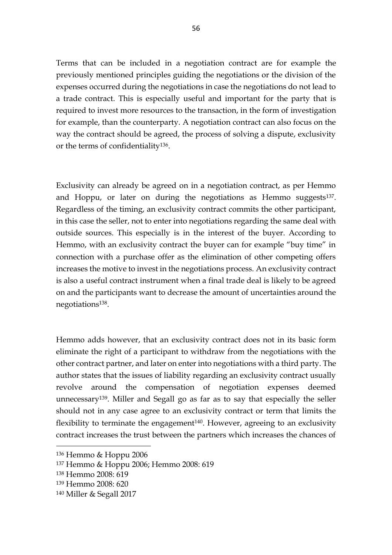Terms that can be included in a negotiation contract are for example the previously mentioned principles guiding the negotiations or the division of the expenses occurred during the negotiations in case the negotiations do not lead to a trade contract. This is especially useful and important for the party that is required to invest more resources to the transaction, in the form of investigation for example, than the counterparty. A negotiation contract can also focus on the way the contract should be agreed, the process of solving a dispute, exclusivity or the terms of confidentiality136.

Exclusivity can already be agreed on in a negotiation contract, as per Hemmo and Hoppu, or later on during the negotiations as Hemmo suggests<sup>137</sup>. Regardless of the timing, an exclusivity contract commits the other participant, in this case the seller, not to enter into negotiations regarding the same deal with outside sources. This especially is in the interest of the buyer. According to Hemmo, with an exclusivity contract the buyer can for example "buy time" in connection with a purchase offer as the elimination of other competing offers increases the motive to invest in the negotiations process. An exclusivity contract is also a useful contract instrument when a final trade deal is likely to be agreed on and the participants want to decrease the amount of uncertainties around the negotiations138.

Hemmo adds however, that an exclusivity contract does not in its basic form eliminate the right of a participant to withdraw from the negotiations with the other contract partner, and later on enter into negotiations with a third party. The author states that the issues of liability regarding an exclusivity contract usually revolve around the compensation of negotiation expenses deemed unnecessary139. Miller and Segall go as far as to say that especially the seller should not in any case agree to an exclusivity contract or term that limits the flexibility to terminate the engagement<sup>140</sup>. However, agreeing to an exclusivity contract increases the trust between the partners which increases the chances of

<sup>136</sup> Hemmo & Hoppu 2006

<sup>137</sup> Hemmo & Hoppu 2006; Hemmo 2008: 619

<sup>138</sup> Hemmo 2008: 619

<sup>139</sup> Hemmo 2008: 620

<sup>140</sup> Miller & Segall 2017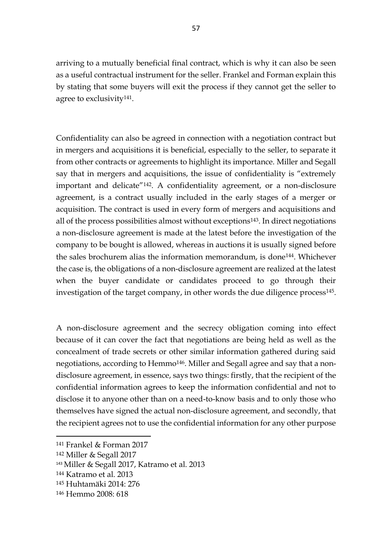arriving to a mutually beneficial final contract, which is why it can also be seen as a useful contractual instrument for the seller. Frankel and Forman explain this by stating that some buyers will exit the process if they cannot get the seller to agree to exclusivity<sup>141</sup>.

Confidentiality can also be agreed in connection with a negotiation contract but in mergers and acquisitions it is beneficial, especially to the seller, to separate it from other contracts or agreements to highlight its importance. Miller and Segall say that in mergers and acquisitions, the issue of confidentiality is "extremely important and delicate"142. A confidentiality agreement, or a non-disclosure agreement, is a contract usually included in the early stages of a merger or acquisition. The contract is used in every form of mergers and acquisitions and all of the process possibilities almost without exceptions<sup>143</sup>. In direct negotiations a non-disclosure agreement is made at the latest before the investigation of the company to be bought is allowed, whereas in auctions it is usually signed before the sales brochurem alias the information memorandum, is done144. Whichever the case is, the obligations of a non-disclosure agreement are realized at the latest when the buyer candidate or candidates proceed to go through their investigation of the target company, in other words the due diligence process $^{145}$ .

A non-disclosure agreement and the secrecy obligation coming into effect because of it can cover the fact that negotiations are being held as well as the concealment of trade secrets or other similar information gathered during said negotiations, according to Hemmo<sup>146</sup>. Miller and Segall agree and say that a nondisclosure agreement, in essence, says two things: firstly, that the recipient of the confidential information agrees to keep the information confidential and not to disclose it to anyone other than on a need-to-know basis and to only those who themselves have signed the actual non-disclosure agreement, and secondly, that the recipient agrees not to use the confidential information for any other purpose

<sup>141</sup> Frankel & Forman 2017

<sup>142</sup> Miller & Segall 2017

<sup>143</sup> Miller & Segall 2017, Katramo et al. 2013

<sup>144</sup> Katramo et al. 2013

<sup>145</sup> Huhtamäki 2014: 276

<sup>146</sup> Hemmo 2008: 618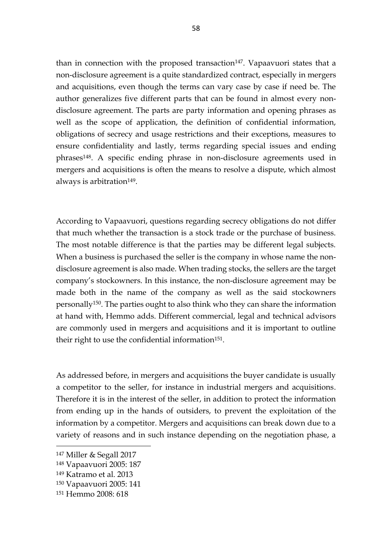than in connection with the proposed transaction<sup>147</sup>. Vapaavuori states that a non-disclosure agreement is a quite standardized contract, especially in mergers and acquisitions, even though the terms can vary case by case if need be. The author generalizes five different parts that can be found in almost every nondisclosure agreement. The parts are party information and opening phrases as well as the scope of application, the definition of confidential information, obligations of secrecy and usage restrictions and their exceptions, measures to ensure confidentiality and lastly, terms regarding special issues and ending phrases148. A specific ending phrase in non-disclosure agreements used in mergers and acquisitions is often the means to resolve a dispute, which almost always is arbitration<sup>149</sup>.

According to Vapaavuori, questions regarding secrecy obligations do not differ that much whether the transaction is a stock trade or the purchase of business. The most notable difference is that the parties may be different legal subjects. When a business is purchased the seller is the company in whose name the nondisclosure agreement is also made. When trading stocks, the sellers are the target company's stockowners. In this instance, the non-disclosure agreement may be made both in the name of the company as well as the said stockowners personally150. The parties ought to also think who they can share the information at hand with, Hemmo adds. Different commercial, legal and technical advisors are commonly used in mergers and acquisitions and it is important to outline their right to use the confidential information<sup>151</sup>.

As addressed before, in mergers and acquisitions the buyer candidate is usually a competitor to the seller, for instance in industrial mergers and acquisitions. Therefore it is in the interest of the seller, in addition to protect the information from ending up in the hands of outsiders, to prevent the exploitation of the information by a competitor. Mergers and acquisitions can break down due to a variety of reasons and in such instance depending on the negotiation phase, a

<sup>147</sup> Miller & Segall 2017

<sup>148</sup> Vapaavuori 2005: 187

<sup>149</sup> Katramo et al. 2013

<sup>150</sup> Vapaavuori 2005: 141

<sup>151</sup> Hemmo 2008: 618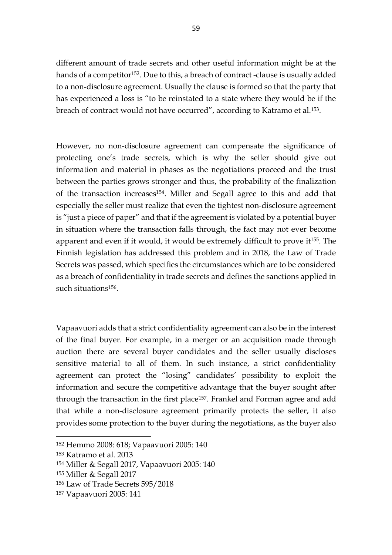different amount of trade secrets and other useful information might be at the hands of a competitor<sup>152</sup>. Due to this, a breach of contract -clause is usually added to a non-disclosure agreement. Usually the clause is formed so that the party that has experienced a loss is "to be reinstated to a state where they would be if the breach of contract would not have occurred", according to Katramo et al.153.

However, no non-disclosure agreement can compensate the significance of protecting one's trade secrets, which is why the seller should give out information and material in phases as the negotiations proceed and the trust between the parties grows stronger and thus, the probability of the finalization of the transaction increases154. Miller and Segall agree to this and add that especially the seller must realize that even the tightest non-disclosure agreement is "just a piece of paper" and that if the agreement is violated by a potential buyer in situation where the transaction falls through, the fact may not ever become apparent and even if it would, it would be extremely difficult to prove it155. The Finnish legislation has addressed this problem and in 2018, the Law of Trade Secrets was passed, which specifies the circumstances which are to be considered as a breach of confidentiality in trade secrets and defines the sanctions applied in such situations<sup>156</sup>.

Vapaavuori adds that a strict confidentiality agreement can also be in the interest of the final buyer. For example, in a merger or an acquisition made through auction there are several buyer candidates and the seller usually discloses sensitive material to all of them. In such instance, a strict confidentiality agreement can protect the "losing" candidates' possibility to exploit the information and secure the competitive advantage that the buyer sought after through the transaction in the first place<sup>157</sup>. Frankel and Forman agree and add that while a non-disclosure agreement primarily protects the seller, it also provides some protection to the buyer during the negotiations, as the buyer also

<sup>152</sup> Hemmo 2008: 618; Vapaavuori 2005: 140

<sup>153</sup> Katramo et al. 2013

<sup>154</sup> Miller & Segall 2017, Vapaavuori 2005: 140

<sup>155</sup> Miller & Segall 2017

<sup>156</sup> Law of Trade Secrets 595/2018

<sup>157</sup> Vapaavuori 2005: 141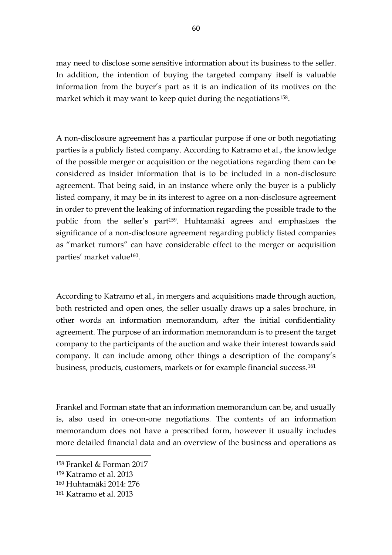may need to disclose some sensitive information about its business to the seller. In addition, the intention of buying the targeted company itself is valuable information from the buyer's part as it is an indication of its motives on the market which it may want to keep quiet during the negotiations<sup>158</sup>.

A non-disclosure agreement has a particular purpose if one or both negotiating parties is a publicly listed company. According to Katramo et al., the knowledge of the possible merger or acquisition or the negotiations regarding them can be considered as insider information that is to be included in a non-disclosure agreement. That being said, in an instance where only the buyer is a publicly listed company, it may be in its interest to agree on a non-disclosure agreement in order to prevent the leaking of information regarding the possible trade to the public from the seller's part159. Huhtamäki agrees and emphasizes the significance of a non-disclosure agreement regarding publicly listed companies as "market rumors" can have considerable effect to the merger or acquisition parties' market value160.

According to Katramo et al., in mergers and acquisitions made through auction, both restricted and open ones, the seller usually draws up a sales brochure, in other words an information memorandum, after the initial confidentiality agreement. The purpose of an information memorandum is to present the target company to the participants of the auction and wake their interest towards said company. It can include among other things a description of the company's business, products, customers, markets or for example financial success. 161

Frankel and Forman state that an information memorandum can be, and usually is, also used in one-on-one negotiations. The contents of an information memorandum does not have a prescribed form, however it usually includes more detailed financial data and an overview of the business and operations as

<sup>158</sup> Frankel & Forman 2017

<sup>159</sup> Katramo et al. 2013

<sup>160</sup> Huhtamäki 2014: 276

<sup>161</sup> Katramo et al. 2013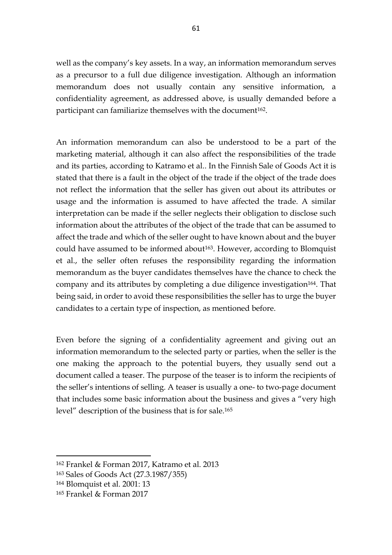well as the company's key assets. In a way, an information memorandum serves as a precursor to a full due diligence investigation. Although an information memorandum does not usually contain any sensitive information, a confidentiality agreement, as addressed above, is usually demanded before a participant can familiarize themselves with the document<sup>162</sup>.

An information memorandum can also be understood to be a part of the marketing material, although it can also affect the responsibilities of the trade and its parties, according to Katramo et al.. In the Finnish Sale of Goods Act it is stated that there is a fault in the object of the trade if the object of the trade does not reflect the information that the seller has given out about its attributes or usage and the information is assumed to have affected the trade. A similar interpretation can be made if the seller neglects their obligation to disclose such information about the attributes of the object of the trade that can be assumed to affect the trade and which of the seller ought to have known about and the buyer could have assumed to be informed about<sup>163</sup>. However, according to Blomquist et al., the seller often refuses the responsibility regarding the information memorandum as the buyer candidates themselves have the chance to check the company and its attributes by completing a due diligence investigation<sup>164</sup>. That being said, in order to avoid these responsibilities the seller has to urge the buyer candidates to a certain type of inspection, as mentioned before.

Even before the signing of a confidentiality agreement and giving out an information memorandum to the selected party or parties, when the seller is the one making the approach to the potential buyers, they usually send out a document called a teaser. The purpose of the teaser is to inform the recipients of the seller's intentions of selling. A teaser is usually a one- to two-page document that includes some basic information about the business and gives a "very high level" description of the business that is for sale.<sup>165</sup>

<sup>162</sup> Frankel & Forman 2017, Katramo et al. 2013

<sup>163</sup> Sales of Goods Act (27.3.1987/355)

<sup>164</sup> Blomquist et al. 2001: 13

<sup>165</sup> Frankel & Forman 2017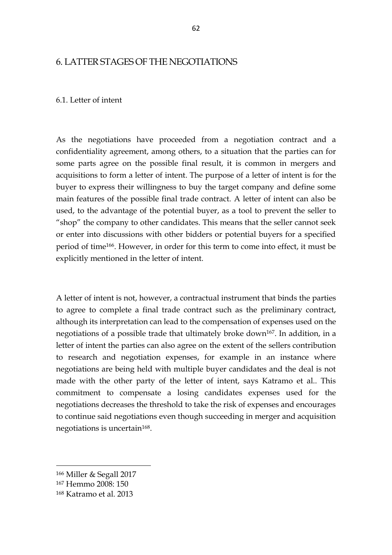## 6. LATTER STAGES OF THE NEGOTIATIONS

#### 6.1. Letter of intent

As the negotiations have proceeded from a negotiation contract and a confidentiality agreement, among others, to a situation that the parties can for some parts agree on the possible final result, it is common in mergers and acquisitions to form a letter of intent. The purpose of a letter of intent is for the buyer to express their willingness to buy the target company and define some main features of the possible final trade contract. A letter of intent can also be used, to the advantage of the potential buyer, as a tool to prevent the seller to "shop" the company to other candidates. This means that the seller cannot seek or enter into discussions with other bidders or potential buyers for a specified period of time166. However, in order for this term to come into effect, it must be explicitly mentioned in the letter of intent.

A letter of intent is not, however, a contractual instrument that binds the parties to agree to complete a final trade contract such as the preliminary contract, although its interpretation can lead to the compensation of expenses used on the negotiations of a possible trade that ultimately broke down<sup>167</sup>. In addition, in a letter of intent the parties can also agree on the extent of the sellers contribution to research and negotiation expenses, for example in an instance where negotiations are being held with multiple buyer candidates and the deal is not made with the other party of the letter of intent, says Katramo et al.. This commitment to compensate a losing candidates expenses used for the negotiations decreases the threshold to take the risk of expenses and encourages to continue said negotiations even though succeeding in merger and acquisition negotiations is uncertain<sup>168</sup>.

<sup>166</sup> Miller & Segall 2017

<sup>167</sup> Hemmo 2008: 150

<sup>168</sup> Katramo et al. 2013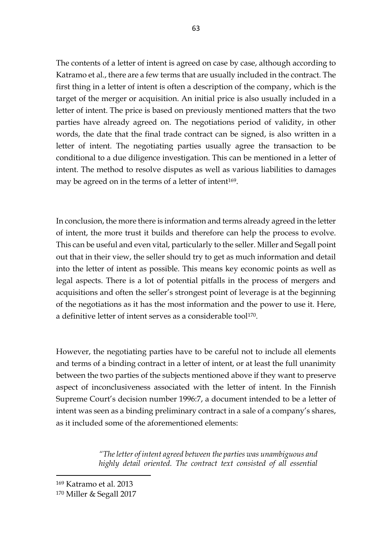The contents of a letter of intent is agreed on case by case, although according to Katramo et al., there are a few terms that are usually included in the contract. The first thing in a letter of intent is often a description of the company, which is the target of the merger or acquisition. An initial price is also usually included in a letter of intent. The price is based on previously mentioned matters that the two parties have already agreed on. The negotiations period of validity, in other words, the date that the final trade contract can be signed, is also written in a letter of intent. The negotiating parties usually agree the transaction to be conditional to a due diligence investigation. This can be mentioned in a letter of intent. The method to resolve disputes as well as various liabilities to damages may be agreed on in the terms of a letter of intent<sup>169</sup>.

In conclusion, the more there is information and terms already agreed in the letter of intent, the more trust it builds and therefore can help the process to evolve. This can be useful and even vital, particularly to the seller. Miller and Segall point out that in their view, the seller should try to get as much information and detail into the letter of intent as possible. This means key economic points as well as legal aspects. There is a lot of potential pitfalls in the process of mergers and acquisitions and often the seller's strongest point of leverage is at the beginning of the negotiations as it has the most information and the power to use it. Here, a definitive letter of intent serves as a considerable tool<sup>170</sup>.

However, the negotiating parties have to be careful not to include all elements and terms of a binding contract in a letter of intent, or at least the full unanimity between the two parties of the subjects mentioned above if they want to preserve aspect of inconclusiveness associated with the letter of intent. In the Finnish Supreme Court's decision number 1996:7, a document intended to be a letter of intent was seen as a binding preliminary contract in a sale of a company's shares, as it included some of the aforementioned elements:

> *"The letter of intent agreed between the parties was unambiguous and highly detail oriented. The contract text consisted of all essential*

<sup>169</sup> Katramo et al. 2013 <sup>170</sup> Miller & Segall 2017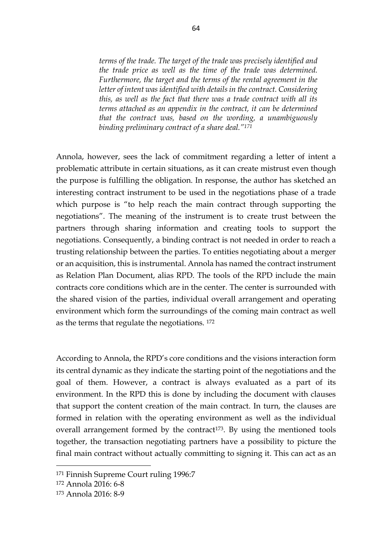*terms of the trade. The target of the trade was precisely identified and the trade price as well as the time of the trade was determined. Furthermore, the target and the terms of the rental agreement in the letter of intent was identified with details in the contract. Considering this, as well as the fact that there was a trade contract with all its terms attached as an appendix in the contract, it can be determined that the contract was, based on the wording, a unambiguously binding preliminary contract of a share deal."<sup>171</sup>*

Annola, however, sees the lack of commitment regarding a letter of intent a problematic attribute in certain situations, as it can create mistrust even though the purpose is fulfilling the obligation. In response, the author has sketched an interesting contract instrument to be used in the negotiations phase of a trade which purpose is "to help reach the main contract through supporting the negotiations". The meaning of the instrument is to create trust between the partners through sharing information and creating tools to support the negotiations. Consequently, a binding contract is not needed in order to reach a trusting relationship between the parties. To entities negotiating about a merger or an acquisition, this is instrumental. Annola has named the contract instrument as Relation Plan Document, alias RPD. The tools of the RPD include the main contracts core conditions which are in the center. The center is surrounded with the shared vision of the parties, individual overall arrangement and operating environment which form the surroundings of the coming main contract as well as the terms that regulate the negotiations. <sup>172</sup>

According to Annola, the RPD's core conditions and the visions interaction form its central dynamic as they indicate the starting point of the negotiations and the goal of them. However, a contract is always evaluated as a part of its environment. In the RPD this is done by including the document with clauses that support the content creation of the main contract. In turn, the clauses are formed in relation with the operating environment as well as the individual overall arrangement formed by the contract<sup>173</sup>. By using the mentioned tools together, the transaction negotiating partners have a possibility to picture the final main contract without actually committing to signing it. This can act as an

<sup>171</sup> Finnish Supreme Court ruling 1996:7

<sup>172</sup> Annola 2016: 6-8

<sup>173</sup> Annola 2016: 8-9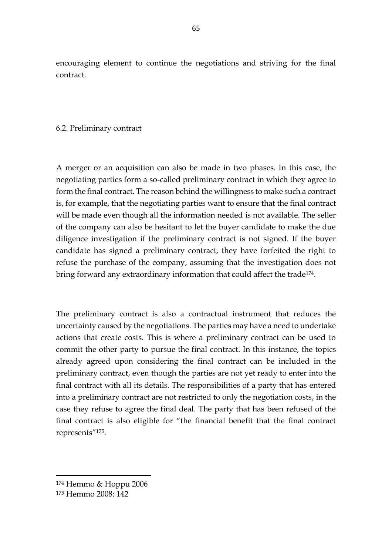encouraging element to continue the negotiations and striving for the final contract.

#### 6.2. Preliminary contract

A merger or an acquisition can also be made in two phases. In this case, the negotiating parties form a so-called preliminary contract in which they agree to form the final contract. The reason behind the willingness to make such a contract is, for example, that the negotiating parties want to ensure that the final contract will be made even though all the information needed is not available. The seller of the company can also be hesitant to let the buyer candidate to make the due diligence investigation if the preliminary contract is not signed. If the buyer candidate has signed a preliminary contract, they have forfeited the right to refuse the purchase of the company, assuming that the investigation does not bring forward any extraordinary information that could affect the trade<sup>174</sup>.

The preliminary contract is also a contractual instrument that reduces the uncertainty caused by the negotiations. The parties may have a need to undertake actions that create costs. This is where a preliminary contract can be used to commit the other party to pursue the final contract. In this instance, the topics already agreed upon considering the final contract can be included in the preliminary contract, even though the parties are not yet ready to enter into the final contract with all its details. The responsibilities of a party that has entered into a preliminary contract are not restricted to only the negotiation costs, in the case they refuse to agree the final deal. The party that has been refused of the final contract is also eligible for "the financial benefit that the final contract represents"175.

<sup>174</sup> Hemmo & Hoppu 2006

<sup>175</sup> Hemmo 2008: 142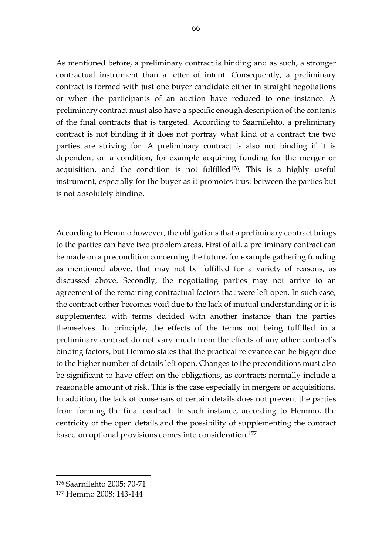As mentioned before, a preliminary contract is binding and as such, a stronger contractual instrument than a letter of intent. Consequently, a preliminary contract is formed with just one buyer candidate either in straight negotiations or when the participants of an auction have reduced to one instance. A preliminary contract must also have a specific enough description of the contents of the final contracts that is targeted. According to Saarnilehto, a preliminary contract is not binding if it does not portray what kind of a contract the two parties are striving for. A preliminary contract is also not binding if it is dependent on a condition, for example acquiring funding for the merger or acquisition, and the condition is not fulfilled<sup>176</sup>. This is a highly useful instrument, especially for the buyer as it promotes trust between the parties but is not absolutely binding.

According to Hemmo however, the obligations that a preliminary contract brings to the parties can have two problem areas. First of all, a preliminary contract can be made on a precondition concerning the future, for example gathering funding as mentioned above, that may not be fulfilled for a variety of reasons, as discussed above. Secondly, the negotiating parties may not arrive to an agreement of the remaining contractual factors that were left open. In such case, the contract either becomes void due to the lack of mutual understanding or it is supplemented with terms decided with another instance than the parties themselves. In principle, the effects of the terms not being fulfilled in a preliminary contract do not vary much from the effects of any other contract's binding factors, but Hemmo states that the practical relevance can be bigger due to the higher number of details left open. Changes to the preconditions must also be significant to have effect on the obligations, as contracts normally include a reasonable amount of risk. This is the case especially in mergers or acquisitions. In addition, the lack of consensus of certain details does not prevent the parties from forming the final contract. In such instance, according to Hemmo, the centricity of the open details and the possibility of supplementing the contract based on optional provisions comes into consideration.<sup>177</sup>

<sup>176</sup> Saarnilehto 2005: 70-71

<sup>177</sup> Hemmo 2008: 143-144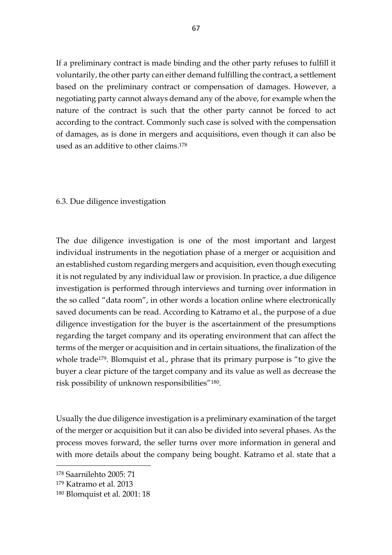If a preliminary contract is made binding and the other party refuses to fulfill it voluntarily, the other party can either demand fulfilling the contract, a settlement based on the preliminary contract or compensation of damages. However, a negotiating party cannot always demand any of the above, for example when the nature of the contract is such that the other party cannot be forced to act according to the contract. Commonly such case is solved with the compensation of damages, as is done in mergers and acquisitions, even though it can also be used as an additive to other claims.<sup>178</sup>

### 6.3. Due diligence investigation

The due diligence investigation is one of the most important and largest individual instruments in the negotiation phase of a merger or acquisition and an established custom regarding mergers and acquisition, even though executing it is not regulated by any individual law or provision. In practice, a due diligence investigation is performed through interviews and turning over information in the so called "data room", in other words a location online where electronically saved documents can be read. According to Katramo et al., the purpose of a due diligence investigation for the buyer is the ascertainment of the presumptions regarding the target company and its operating environment that can affect the terms of the merger or acquisition and in certain situations, the finalization of the whole trade<sup>179</sup>. Blomquist et al., phrase that its primary purpose is "to give the buyer a clear picture of the target company and its value as well as decrease the risk possibility of unknown responsibilities"180.

Usually the due diligence investigation is a preliminary examination of the target of the merger or acquisition but it can also be divided into several phases. As the process moves forward, the seller turns over more information in general and with more details about the company being bought. Katramo et al. state that a

<sup>178</sup> Saarnilehto 2005: 71

<sup>179</sup> Katramo et al. 2013

<sup>180</sup> Blomquist et al. 2001: 18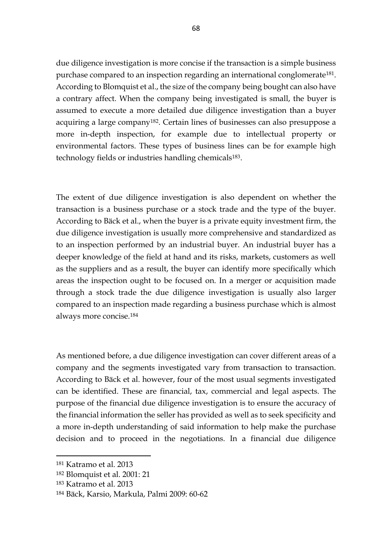due diligence investigation is more concise if the transaction is a simple business purchase compared to an inspection regarding an international conglomerate<sup>181</sup>. According to Blomquist et al., the size of the company being bought can also have a contrary affect. When the company being investigated is small, the buyer is assumed to execute a more detailed due diligence investigation than a buyer acquiring a large company182. Certain lines of businesses can also presuppose a more in-depth inspection, for example due to intellectual property or environmental factors. These types of business lines can be for example high technology fields or industries handling chemicals<sup>183</sup>.

The extent of due diligence investigation is also dependent on whether the transaction is a business purchase or a stock trade and the type of the buyer. According to Bäck et al., when the buyer is a private equity investment firm, the due diligence investigation is usually more comprehensive and standardized as to an inspection performed by an industrial buyer. An industrial buyer has a deeper knowledge of the field at hand and its risks, markets, customers as well as the suppliers and as a result, the buyer can identify more specifically which areas the inspection ought to be focused on. In a merger or acquisition made through a stock trade the due diligence investigation is usually also larger compared to an inspection made regarding a business purchase which is almost always more concise.<sup>184</sup>

As mentioned before, a due diligence investigation can cover different areas of a company and the segments investigated vary from transaction to transaction. According to Bäck et al. however, four of the most usual segments investigated can be identified. These are financial, tax, commercial and legal aspects. The purpose of the financial due diligence investigation is to ensure the accuracy of the financial information the seller has provided as well as to seek specificity and a more in-depth understanding of said information to help make the purchase decision and to proceed in the negotiations. In a financial due diligence

<sup>181</sup> Katramo et al. 2013

<sup>182</sup> Blomquist et al. 2001: 21

<sup>183</sup> Katramo et al. 2013

<sup>184</sup> Bäck, Karsio, Markula, Palmi 2009: 60-62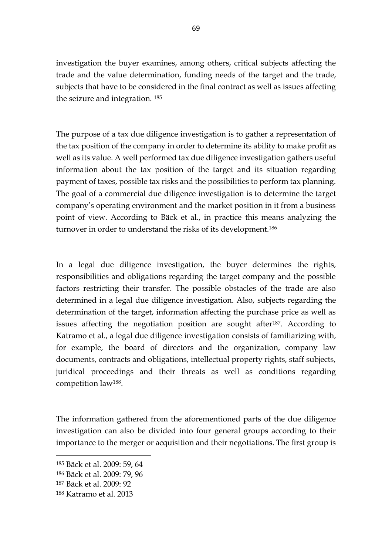investigation the buyer examines, among others, critical subjects affecting the trade and the value determination, funding needs of the target and the trade, subjects that have to be considered in the final contract as well as issues affecting the seizure and integration. <sup>185</sup>

The purpose of a tax due diligence investigation is to gather a representation of the tax position of the company in order to determine its ability to make profit as well as its value. A well performed tax due diligence investigation gathers useful information about the tax position of the target and its situation regarding payment of taxes, possible tax risks and the possibilities to perform tax planning. The goal of a commercial due diligence investigation is to determine the target company's operating environment and the market position in it from a business point of view. According to Bäck et al., in practice this means analyzing the turnover in order to understand the risks of its development.<sup>186</sup>

In a legal due diligence investigation, the buyer determines the rights, responsibilities and obligations regarding the target company and the possible factors restricting their transfer. The possible obstacles of the trade are also determined in a legal due diligence investigation. Also, subjects regarding the determination of the target, information affecting the purchase price as well as issues affecting the negotiation position are sought after<sup>187</sup>. According to Katramo et al., a legal due diligence investigation consists of familiarizing with, for example, the board of directors and the organization, company law documents, contracts and obligations, intellectual property rights, staff subjects, juridical proceedings and their threats as well as conditions regarding competition law188.

The information gathered from the aforementioned parts of the due diligence investigation can also be divided into four general groups according to their importance to the merger or acquisition and their negotiations. The first group is

<sup>185</sup> Bäck et al. 2009: 59, 64

<sup>186</sup> Bäck et al. 2009: 79, 96

<sup>187</sup> Bäck et al. 2009: 92

<sup>188</sup> Katramo et al. 2013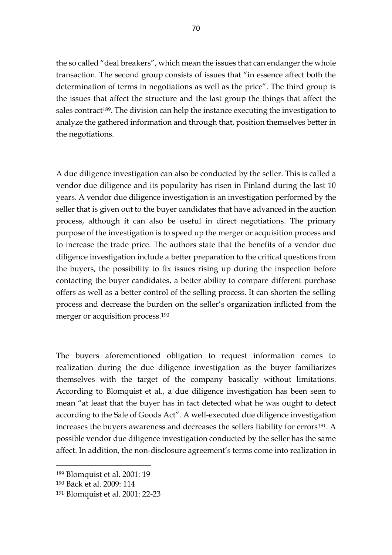the so called "deal breakers", which mean the issues that can endanger the whole transaction. The second group consists of issues that "in essence affect both the determination of terms in negotiations as well as the price". The third group is the issues that affect the structure and the last group the things that affect the sales contract<sup>189</sup>. The division can help the instance executing the investigation to analyze the gathered information and through that, position themselves better in the negotiations.

A due diligence investigation can also be conducted by the seller. This is called a vendor due diligence and its popularity has risen in Finland during the last 10 years. A vendor due diligence investigation is an investigation performed by the seller that is given out to the buyer candidates that have advanced in the auction process, although it can also be useful in direct negotiations. The primary purpose of the investigation is to speed up the merger or acquisition process and to increase the trade price. The authors state that the benefits of a vendor due diligence investigation include a better preparation to the critical questions from the buyers, the possibility to fix issues rising up during the inspection before contacting the buyer candidates, a better ability to compare different purchase offers as well as a better control of the selling process. It can shorten the selling process and decrease the burden on the seller's organization inflicted from the merger or acquisition process.<sup>190</sup>

The buyers aforementioned obligation to request information comes to realization during the due diligence investigation as the buyer familiarizes themselves with the target of the company basically without limitations. According to Blomquist et al., a due diligence investigation has been seen to mean "at least that the buyer has in fact detected what he was ought to detect according to the Sale of Goods Act". A well-executed due diligence investigation increases the buyers awareness and decreases the sellers liability for errors<sup>191</sup>. A possible vendor due diligence investigation conducted by the seller has the same affect. In addition, the non-disclosure agreement's terms come into realization in

<sup>189</sup> Blomquist et al. 2001: 19

<sup>190</sup> Bäck et al. 2009: 114

<sup>191</sup> Blomquist et al. 2001: 22-23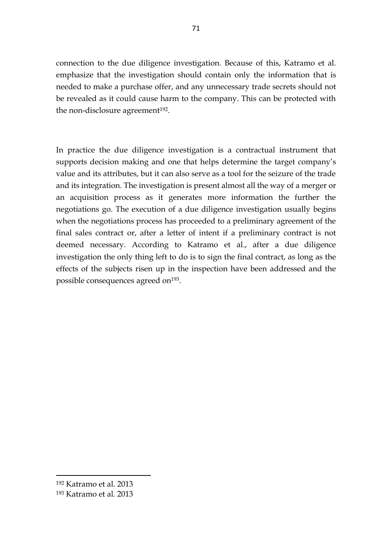connection to the due diligence investigation. Because of this, Katramo et al. emphasize that the investigation should contain only the information that is needed to make a purchase offer, and any unnecessary trade secrets should not be revealed as it could cause harm to the company. This can be protected with the non-disclosure agreement<sup>192</sup>.

In practice the due diligence investigation is a contractual instrument that supports decision making and one that helps determine the target company's value and its attributes, but it can also serve as a tool for the seizure of the trade and its integration. The investigation is present almost all the way of a merger or an acquisition process as it generates more information the further the negotiations go. The execution of a due diligence investigation usually begins when the negotiations process has proceeded to a preliminary agreement of the final sales contract or, after a letter of intent if a preliminary contract is not deemed necessary. According to Katramo et al., after a due diligence investigation the only thing left to do is to sign the final contract, as long as the effects of the subjects risen up in the inspection have been addressed and the possible consequences agreed on<sup>193</sup>.

-

<sup>192</sup> Katramo et al. 2013

<sup>193</sup> Katramo et al. 2013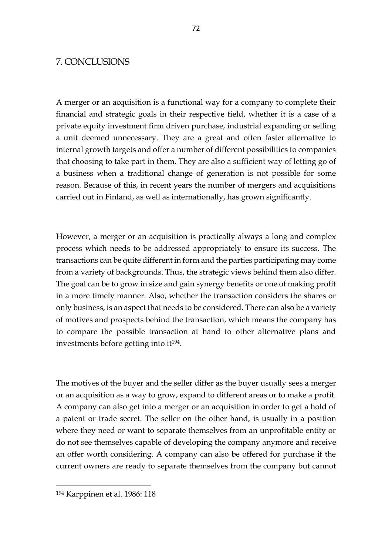## 7. CONCLUSIONS

A merger or an acquisition is a functional way for a company to complete their financial and strategic goals in their respective field, whether it is a case of a private equity investment firm driven purchase, industrial expanding or selling a unit deemed unnecessary. They are a great and often faster alternative to internal growth targets and offer a number of different possibilities to companies that choosing to take part in them. They are also a sufficient way of letting go of a business when a traditional change of generation is not possible for some reason. Because of this, in recent years the number of mergers and acquisitions carried out in Finland, as well as internationally, has grown significantly.

However, a merger or an acquisition is practically always a long and complex process which needs to be addressed appropriately to ensure its success. The transactions can be quite different in form and the parties participating may come from a variety of backgrounds. Thus, the strategic views behind them also differ. The goal can be to grow in size and gain synergy benefits or one of making profit in a more timely manner. Also, whether the transaction considers the shares or only business, is an aspect that needs to be considered. There can also be a variety of motives and prospects behind the transaction, which means the company has to compare the possible transaction at hand to other alternative plans and investments before getting into it194.

The motives of the buyer and the seller differ as the buyer usually sees a merger or an acquisition as a way to grow, expand to different areas or to make a profit. A company can also get into a merger or an acquisition in order to get a hold of a patent or trade secret. The seller on the other hand, is usually in a position where they need or want to separate themselves from an unprofitable entity or do not see themselves capable of developing the company anymore and receive an offer worth considering. A company can also be offered for purchase if the current owners are ready to separate themselves from the company but cannot

-

<sup>194</sup> Karppinen et al. 1986: 118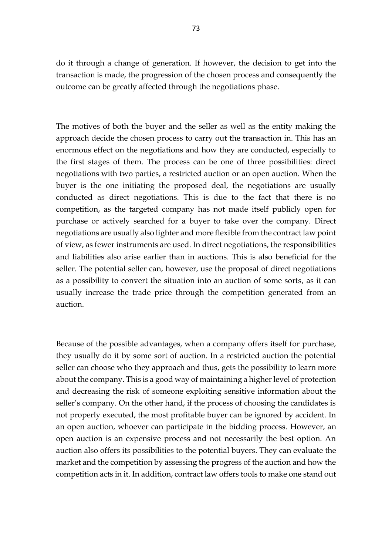do it through a change of generation. If however, the decision to get into the transaction is made, the progression of the chosen process and consequently the outcome can be greatly affected through the negotiations phase.

The motives of both the buyer and the seller as well as the entity making the approach decide the chosen process to carry out the transaction in. This has an enormous effect on the negotiations and how they are conducted, especially to the first stages of them. The process can be one of three possibilities: direct negotiations with two parties, a restricted auction or an open auction. When the buyer is the one initiating the proposed deal, the negotiations are usually conducted as direct negotiations. This is due to the fact that there is no competition, as the targeted company has not made itself publicly open for purchase or actively searched for a buyer to take over the company. Direct negotiations are usually also lighter and more flexible from the contract law point of view, as fewer instruments are used. In direct negotiations, the responsibilities and liabilities also arise earlier than in auctions. This is also beneficial for the seller. The potential seller can, however, use the proposal of direct negotiations as a possibility to convert the situation into an auction of some sorts, as it can usually increase the trade price through the competition generated from an auction.

Because of the possible advantages, when a company offers itself for purchase, they usually do it by some sort of auction. In a restricted auction the potential seller can choose who they approach and thus, gets the possibility to learn more about the company. This is a good way of maintaining a higher level of protection and decreasing the risk of someone exploiting sensitive information about the seller's company. On the other hand, if the process of choosing the candidates is not properly executed, the most profitable buyer can be ignored by accident. In an open auction, whoever can participate in the bidding process. However, an open auction is an expensive process and not necessarily the best option. An auction also offers its possibilities to the potential buyers. They can evaluate the market and the competition by assessing the progress of the auction and how the competition acts in it. In addition, contract law offers tools to make one stand out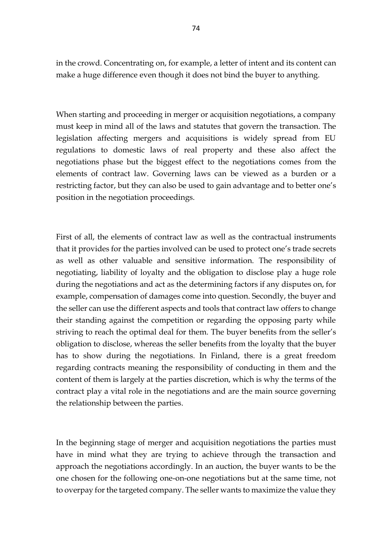in the crowd. Concentrating on, for example, a letter of intent and its content can make a huge difference even though it does not bind the buyer to anything.

When starting and proceeding in merger or acquisition negotiations, a company must keep in mind all of the laws and statutes that govern the transaction. The legislation affecting mergers and acquisitions is widely spread from EU regulations to domestic laws of real property and these also affect the negotiations phase but the biggest effect to the negotiations comes from the elements of contract law. Governing laws can be viewed as a burden or a restricting factor, but they can also be used to gain advantage and to better one's position in the negotiation proceedings.

First of all, the elements of contract law as well as the contractual instruments that it provides for the parties involved can be used to protect one's trade secrets as well as other valuable and sensitive information. The responsibility of negotiating, liability of loyalty and the obligation to disclose play a huge role during the negotiations and act as the determining factors if any disputes on, for example, compensation of damages come into question. Secondly, the buyer and the seller can use the different aspects and tools that contract law offers to change their standing against the competition or regarding the opposing party while striving to reach the optimal deal for them. The buyer benefits from the seller's obligation to disclose, whereas the seller benefits from the loyalty that the buyer has to show during the negotiations. In Finland, there is a great freedom regarding contracts meaning the responsibility of conducting in them and the content of them is largely at the parties discretion, which is why the terms of the contract play a vital role in the negotiations and are the main source governing the relationship between the parties.

In the beginning stage of merger and acquisition negotiations the parties must have in mind what they are trying to achieve through the transaction and approach the negotiations accordingly. In an auction, the buyer wants to be the one chosen for the following one-on-one negotiations but at the same time, not to overpay for the targeted company. The seller wants to maximize the value they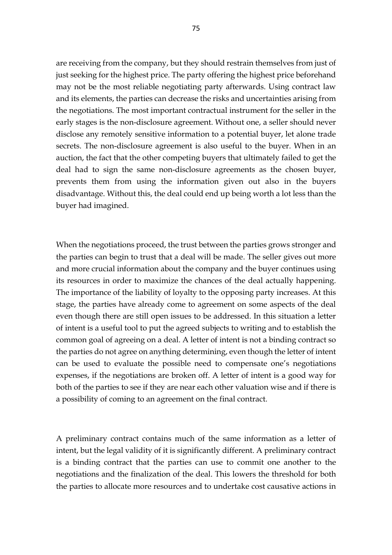are receiving from the company, but they should restrain themselves from just of just seeking for the highest price. The party offering the highest price beforehand may not be the most reliable negotiating party afterwards. Using contract law and its elements, the parties can decrease the risks and uncertainties arising from the negotiations. The most important contractual instrument for the seller in the early stages is the non-disclosure agreement. Without one, a seller should never disclose any remotely sensitive information to a potential buyer, let alone trade secrets. The non-disclosure agreement is also useful to the buyer. When in an auction, the fact that the other competing buyers that ultimately failed to get the deal had to sign the same non-disclosure agreements as the chosen buyer, prevents them from using the information given out also in the buyers disadvantage. Without this, the deal could end up being worth a lot less than the buyer had imagined.

When the negotiations proceed, the trust between the parties grows stronger and the parties can begin to trust that a deal will be made. The seller gives out more and more crucial information about the company and the buyer continues using its resources in order to maximize the chances of the deal actually happening. The importance of the liability of loyalty to the opposing party increases. At this stage, the parties have already come to agreement on some aspects of the deal even though there are still open issues to be addressed. In this situation a letter of intent is a useful tool to put the agreed subjects to writing and to establish the common goal of agreeing on a deal. A letter of intent is not a binding contract so the parties do not agree on anything determining, even though the letter of intent can be used to evaluate the possible need to compensate one's negotiations expenses, if the negotiations are broken off. A letter of intent is a good way for both of the parties to see if they are near each other valuation wise and if there is a possibility of coming to an agreement on the final contract.

A preliminary contract contains much of the same information as a letter of intent, but the legal validity of it is significantly different. A preliminary contract is a binding contract that the parties can use to commit one another to the negotiations and the finalization of the deal. This lowers the threshold for both the parties to allocate more resources and to undertake cost causative actions in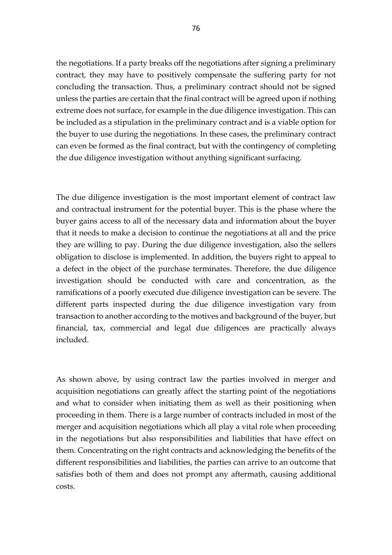the negotiations. If a party breaks off the negotiations after signing a preliminary contract, they may have to positively compensate the suffering party for not concluding the transaction. Thus, a preliminary contract should not be signed unless the parties are certain that the final contract will be agreed upon if nothing extreme does not surface, for example in the due diligence investigation. This can be included as a stipulation in the preliminary contract and is a viable option for the buyer to use during the negotiations. In these cases, the preliminary contract can even be formed as the final contract, but with the contingency of completing the due diligence investigation without anything significant surfacing.

The due diligence investigation is the most important element of contract law and contractual instrument for the potential buyer. This is the phase where the buyer gains access to all of the necessary data and information about the buyer that it needs to make a decision to continue the negotiations at all and the price they are willing to pay. During the due diligence investigation, also the sellers obligation to disclose is implemented. In addition, the buyers right to appeal to a defect in the object of the purchase terminates. Therefore, the due diligence investigation should be conducted with care and concentration, as the ramifications of a poorly executed due diligence investigation can be severe. The different parts inspected during the due diligence investigation vary from transaction to another according to the motives and background of the buyer, but financial, tax, commercial and legal due diligences are practically always included.

As shown above, by using contract law the parties involved in merger and acquisition negotiations can greatly affect the starting point of the negotiations and what to consider when initiating them as well as their positioning when proceeding in them. There is a large number of contracts included in most of the merger and acquisition negotiations which all play a vital role when proceeding in the negotiations but also responsibilities and liabilities that have effect on them. Concentrating on the right contracts and acknowledging the benefits of the different responsibilities and liabilities, the parties can arrive to an outcome that satisfies both of them and does not prompt any aftermath, causing additional costs.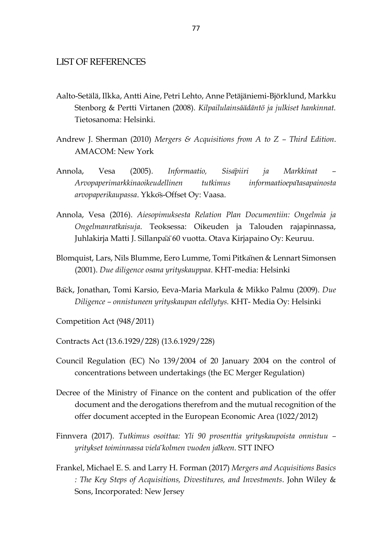## LIST OF REFERENCES

- Aalto-Setälä, Ilkka, Antti Aine, Petri Lehto, Anne Petäjäniemi-Björklund, Markku Stenborg & Pertti Virtanen (2008). *Kilpailulainsäädäntö ja julkiset hankinnat.*  Tietosanoma: Helsinki.
- Andrew J. Sherman (2010) *Mergers & Acquisitions from A to Z – Third Edition*. AMACOM: New York
- Annola, Vesa (2005). *Informaatio, Sisäpiiri ja Markkinat – Arvopaperimarkkinaoikeudellinen tutkimus informaatioepätasapainosta arvopaperikaupassa*. Ykkös-Offset Oy: Vaasa.
- Annola, Vesa (2016). *Aiesopimuksesta Relation Plan Documentiin: Ongelmia ja Ongelmanratkaisuja*. Teoksessa: Oikeuden ja Talouden rajapinnassa, Juhlakirja Matti J. Sillanpaä 60 vuotta. Otava Kirjapaino Oy: Keuruu.
- Blomquist, Lars, Nils Blumme, Eero Lumme, Tomi Pitkänen & Lennart Simonsen (2001). *Due diligence osana yrityskauppaa*. KHT-media: Helsinki
- Bäck, Jonathan, Tomi Karsio, Eeva-Maria Markula & Mikko Palmu (2009). *Due Diligence – onnistuneen yrityskaupan edellytys.* KHT- Media Oy: Helsinki
- Competition Act (948/2011)
- Contracts Act (13.6.1929/228) (13.6.1929/228)
- Council Regulation (EC) No 139/2004 of 20 January 2004 on the control of concentrations between undertakings (the EC Merger Regulation)
- Decree of the Ministry of Finance on the content and publication of the offer document and the derogations therefrom and the mutual recognition of the offer document accepted in the European Economic Area (1022/2012)
- Finnvera (2017). *Tutkimus osoittaa: Yli 90 prosenttia yrityskaupoista onnistuu – yritykset toiminnassa vieläkolmen vuoden jälkeen*. STT INFO
- Frankel, Michael E. S. and Larry H. Forman (2017) *Mergers and Acquisitions Basics : The Key Steps of Acquisitions, Divestitures, and Investments*. John Wiley & Sons, Incorporated: New Jersey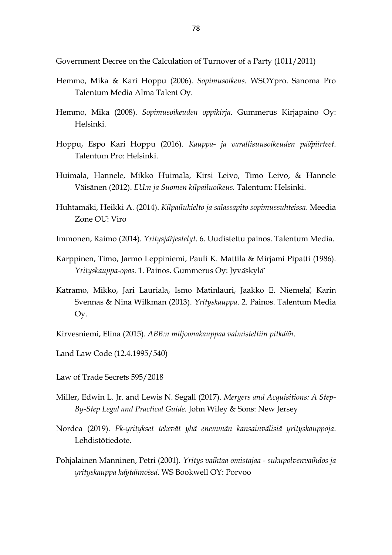Government Decree on the Calculation of Turnover of a Party (1011/2011)

- Hemmo, Mika & Kari Hoppu (2006). *Sopimusoikeus.* WSOYpro. Sanoma Pro Talentum Media Alma Talent Oy.
- Hemmo, Mika (2008). *Sopimusoikeuden oppikirja*. Gummerus Kirjapaino Oy: Helsinki.
- Hoppu, Espo Kari Hoppu (2016). *Kauppa- ja varallisuusoikeuden pääpiirteet*. Talentum Pro: Helsinki.
- Huimala, Hannele, Mikko Huimala, Kirsi Leivo, Timo Leivo, & Hannele Väisänen (2012). *EU:n ja Suomen kilpailuoikeus.* Talentum: Helsinki.
- Huhtamäki, Heikki A. (2014). *Kilpailukielto ja salassapito sopimussuhteissa*. Meedia Zone OU: Viro
- Immonen, Raimo (2014). *Yritysjärjestelyt*. 6. Uudistettu painos. Talentum Media.
- Karppinen, Timo, Jarmo Leppiniemi, Pauli K. Mattila & Mirjami Pipatti (1986). *Yrityskauppa-opas.* 1. Painos. Gummerus Oy: Jyväskylä
- Katramo, Mikko, Jari Lauriala, Ismo Matinlauri, Jaakko E. Niemelä, Karin Svennas & Nina Wilkman (2013). *Yrityskauppa*. 2. Painos. Talentum Media Oy.
- Kirvesniemi, Elina (2015). *ABB:n miljoonakauppaa valmisteltiin pitkään*.
- Land Law Code (12.4.1995/540)
- Law of Trade Secrets 595/2018
- Miller, Edwin L. Jr. and Lewis N. Segall (2017). *Mergers and Acquisitions: A Step-By-Step Legal and Practical Guide.* John Wiley & Sons: New Jersey
- Nordea (2019). *Pk-yritykset tekevät yhä enemmän kansainvälisiä yrityskauppoja*. Lehdistötiedote.
- Pohjalainen Manninen, Petri (2001). *Yritys vaihtaa omistajaa - sukupolvenvaihdos ja yrityskauppa käytännössä*. WS Bookwell OY: Porvoo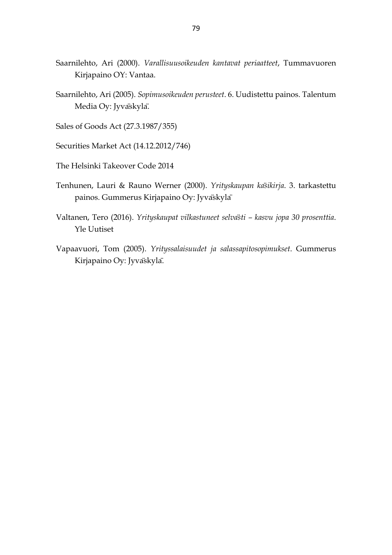- Saarnilehto, Ari (2000). *Varallisuusoikeuden kantavat periaatteet*, Tummavuoren Kirjapaino OY: Vantaa.
- Saarnilehto, Ari (2005). *Sopimusoikeuden perusteet*. 6. Uudistettu painos. Talentum Media Oy: Jyvaskyla.
- Sales of Goods Act (27.3.1987/355)
- Securities Market Act (14.12.2012/746)
- The Helsinki Takeover Code 2014
- Tenhunen, Lauri & Rauno Werner (2000). *Yrityskaupan käsikirja*. 3. tarkastettu painos. Gummerus Kirjapaino Oy: Jyvaskyla<sup>r</sup>
- Valtanen, Tero (2016). *Yrityskaupat vilkastuneet selvästi – kasvu jopa 30 prosenttia*. Yle Uutiset
- Vapaavuori, Tom (2005). *Yrityssalaisuudet ja salassapitosopimukset*. Gummerus Kirjapaino Oy: Jyvaskyla.